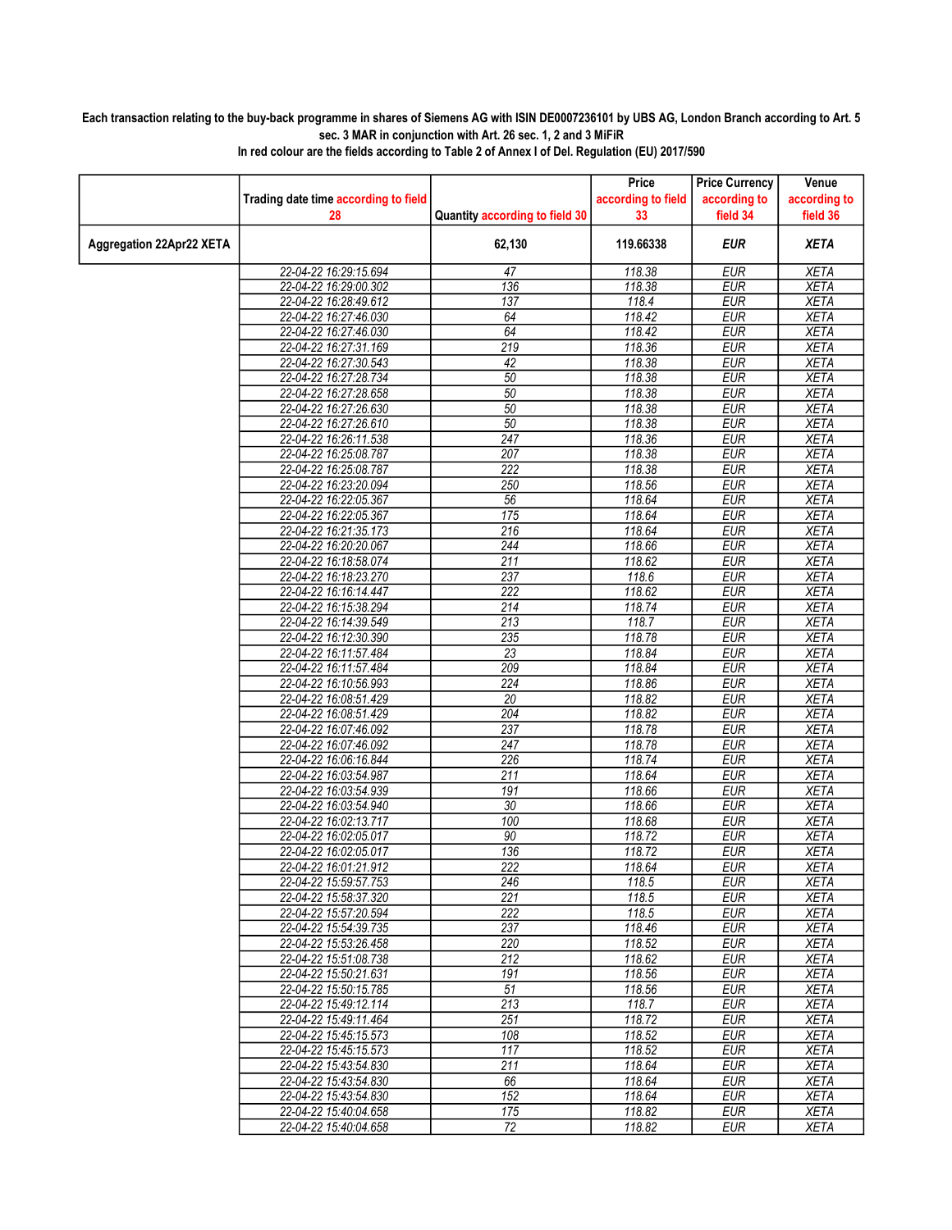## Each transaction relating to the buy-back programme in shares of Siemens AG with ISIN DE0007236101 by UBS AG, London Branch according to Art. 5 sec. 3 MAR in conjunction with Art. 26 sec. 1, 2 and 3 MiFiR

|                                 |                                      |                                | Price              | <b>Price Currency</b> | Venue        |
|---------------------------------|--------------------------------------|--------------------------------|--------------------|-----------------------|--------------|
|                                 | Trading date time according to field |                                | according to field | according to          | according to |
|                                 | 28                                   | Quantity according to field 30 | 33                 | field 34              | field 36     |
|                                 |                                      |                                |                    |                       |              |
| <b>Aggregation 22Apr22 XETA</b> |                                      | 62,130                         | 119.66338          | <b>EUR</b>            | <b>XETA</b>  |
|                                 | 22-04-22 16:29:15.694                | 47                             | 118.38             | <b>EUR</b>            | <b>XETA</b>  |
|                                 | 22-04-22 16:29:00.302                | 136                            | 118.38             | <b>EUR</b>            | <b>XETA</b>  |
|                                 | 22-04-22 16:28:49.612                | 137                            | 118.4              | <b>EUR</b>            | <b>XETA</b>  |
|                                 | 22-04-22 16:27:46.030                | 64                             | 118.42             | <b>EUR</b>            | <b>XETA</b>  |
|                                 | 22-04-22 16:27:46.030                | 64                             | 118.42             | <b>EUR</b>            | <b>XETA</b>  |
|                                 | 22-04-22 16:27:31.169                | 219                            | 118.36             | <b>EUR</b>            | <b>XETA</b>  |
|                                 | 22-04-22 16:27:30.543                | 42                             | 118.38             | <b>EUR</b>            | <b>XETA</b>  |
|                                 | 22-04-22 16:27:28.734                | 50                             | 118.38             | <b>EUR</b>            | <b>XETA</b>  |
|                                 | 22-04-22 16:27:28.658                | 50                             | 118.38             | <b>EUR</b>            | <b>XETA</b>  |
|                                 | 22-04-22 16:27:26.630                | 50                             | 118.38             | <b>EUR</b>            | <b>XETA</b>  |
|                                 | 22-04-22 16:27:26.610                | 50                             | 118.38             | <b>EUR</b>            | <b>XETA</b>  |
|                                 | 22-04-22 16:26:11.538                | 247                            | 118.36             | <b>EUR</b>            | <b>XETA</b>  |
|                                 | 22-04-22 16:25:08.787                | 207                            | 118.38             | <b>EUR</b>            | <b>XETA</b>  |
|                                 | 22-04-22 16:25:08.787                | 222                            | 118.38             | <b>EUR</b>            | <b>XETA</b>  |
|                                 | 22-04-22 16:23:20.094                | 250                            | 118.56             | <b>EUR</b>            | <b>XETA</b>  |
|                                 | 22-04-22 16:22:05.367                | 56                             | 118.64             | <b>EUR</b>            | <b>XETA</b>  |
|                                 | 22-04-22 16:22:05.367                | 175                            | 118.64             | <b>EUR</b>            | <b>XETA</b>  |
|                                 | 22-04-22 16:21:35.173                | $\overline{216}$               | 118.64             | <b>EUR</b>            | <b>XETA</b>  |
|                                 | 22-04-22 16:20:20.067                | 244                            | 118.66             | <b>EUR</b>            | <b>XETA</b>  |
|                                 | 22-04-22 16:18:58.074                | 211                            | 118.62             | <b>EUR</b>            | <b>XETA</b>  |
|                                 | 22-04-22 16:18:23.270                | 237                            | 118.6              | <b>EUR</b>            | <b>XETA</b>  |
|                                 | 22-04-22 16:16:14.447                | 222                            | 118.62             | <b>EUR</b>            | <b>XETA</b>  |
|                                 | 22-04-22 16:15:38.294                | 214                            | 118.74             | <b>EUR</b>            | <b>XETA</b>  |
|                                 | 22-04-22 16:14:39.549                | 213                            | 118.7              | <b>EUR</b>            | <b>XETA</b>  |
|                                 | 22-04-22 16:12:30.390                | 235                            | 118.78             | <b>EUR</b>            | <b>XETA</b>  |
|                                 | 22-04-22 16:11:57.484                | 23                             | 118.84             | <b>EUR</b>            | <b>XETA</b>  |
|                                 | 22-04-22 16:11:57.484                | 209                            | 118.84             | <b>EUR</b>            | <b>XETA</b>  |
|                                 | 22-04-22 16:10:56.993                | 224                            | 118.86             | <b>EUR</b>            | <b>XETA</b>  |
|                                 | 22-04-22 16:08:51.429                | 20                             | 118.82             | <b>EUR</b>            | <b>XETA</b>  |
|                                 | 22-04-22 16:08:51.429                | 204                            | 118.82             | <b>EUR</b>            | <b>XETA</b>  |
|                                 | 22-04-22 16:07:46.092                | 237                            | 118.78             | <b>EUR</b>            | <b>XETA</b>  |
|                                 | 22-04-22 16:07:46.092                | 247                            | 118.78             | <b>EUR</b>            | <b>XETA</b>  |
|                                 | 22-04-22 16:06:16.844                | 226                            | 118.74             | <b>EUR</b>            | <b>XETA</b>  |
|                                 | 22-04-22 16:03:54.987                | $\overline{211}$               | 118.64             | <b>EUR</b>            | <b>XETA</b>  |
|                                 | 22-04-22 16:03:54.939                | 191                            | 118.66             | <b>EUR</b>            | <b>XETA</b>  |
|                                 | 22-04-22 16:03:54.940                | 30                             | 118.66             | <b>EUR</b>            | <b>XETA</b>  |
|                                 | 22-04-22 16:02:13.717                | 100                            | 118.68             | <b>EUR</b>            | <b>XETA</b>  |
|                                 | 22-04-22 16:02:05.017                | 90                             | 118.72             | <b>EUR</b>            | <b>XETA</b>  |
|                                 | 22-04-22 16:02:05.017                | 136                            | 118.72             | <b>EUR</b>            | <b>XETA</b>  |
|                                 | 22-04-22 16:01:21.912                | 222                            | 118.64             | <b>EUR</b>            | <b>XETA</b>  |
|                                 | 22-04-22 15:59:57.753                | 246                            | 118.5              | <b>EUR</b>            | <b>XETA</b>  |
|                                 | 22-04-22 15:58:37.320                | 221                            | 118.5              | <b>EUR</b>            | <b>XETA</b>  |
|                                 | 22-04-22 15:57:20.594                | 222                            | 118.5              | <b>EUR</b>            | <b>XETA</b>  |
|                                 | 22-04-22 15:54:39.735                | 237                            | 118.46             | <b>EUR</b>            | XETA         |
|                                 | 22-04-22 15:53:26.458                | 220                            | 118.52             | <b>EUR</b>            | <b>XETA</b>  |
|                                 | 22-04-22 15:51:08.738                | 212                            | 118.62             | <b>EUR</b>            | <b>XETA</b>  |
|                                 | 22-04-22 15:50:21.631                | 191                            | 118.56             | <b>EUR</b>            | <b>XETA</b>  |
|                                 | 22-04-22 15:50:15.785                | 51                             | 118.56             | <b>EUR</b>            | <b>XETA</b>  |
|                                 | 22-04-22 15:49:12.114                | $\overline{213}$               | 118.7              | <b>EUR</b>            | XETA         |
|                                 | 22-04-22 15:49:11.464                | 251                            | 118.72             | <b>EUR</b>            | <b>XETA</b>  |
|                                 | 22-04-22 15:45:15.573                | 108                            | 118.52             | <b>EUR</b>            | <b>XETA</b>  |
|                                 | 22-04-22 15:45:15.573                | 117                            | 118.52             | <b>EUR</b>            | <b>XETA</b>  |
|                                 | 22-04-22 15:43:54.830                | 211                            | 118.64             | <b>EUR</b>            | <b>XETA</b>  |
|                                 | 22-04-22 15:43:54.830                | 66                             | 118.64             | <b>EUR</b>            | <b>XETA</b>  |
|                                 | 22-04-22 15:43:54.830                | 152                            | 118.64             | <b>EUR</b>            | <b>XETA</b>  |
|                                 | 22-04-22 15:40:04.658                | 175                            | 118.82             | <b>EUR</b>            | <b>XETA</b>  |
|                                 | 22-04-22 15:40:04.658                | 72                             | 118.82             | <b>EUR</b>            | <b>XETA</b>  |

In red colour are the fields according to Table 2 of Annex I of Del. Regulation (EU) 2017/590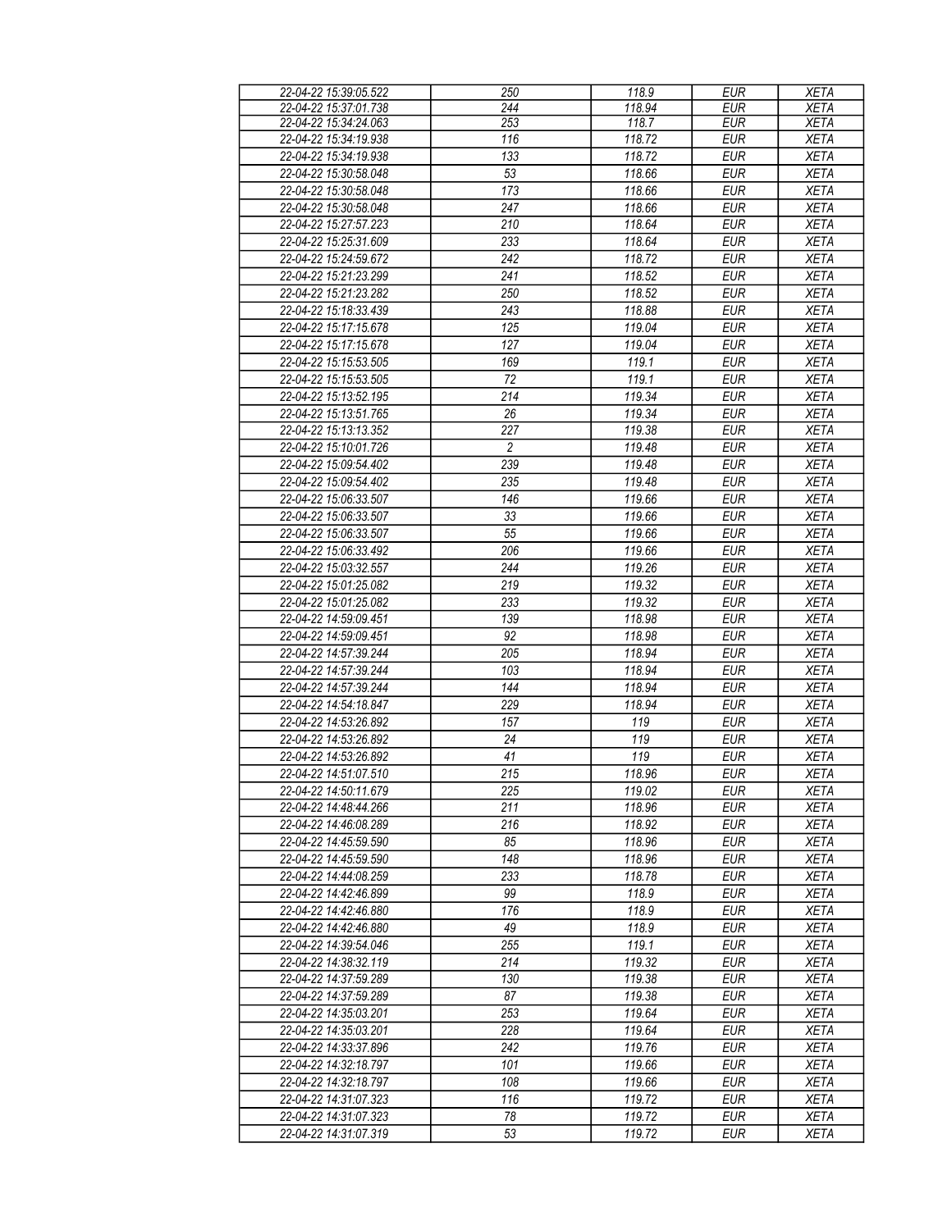| 22-04-22 15:39:05.522                          | 250              | 118.9            | <b>EUR</b>               | <b>XETA</b>                |
|------------------------------------------------|------------------|------------------|--------------------------|----------------------------|
| 22-04-22 15:37:01.738                          | 244              | 118.94           | <b>EUR</b>               | <b>XETA</b>                |
|                                                |                  |                  |                          |                            |
| 22-04-22 15:34:24.063                          | 253              | 118.7            | <b>EUR</b>               | <b>XETA</b>                |
| 22-04-22 15:34:19.938                          | 116              | 118.72           | <b>EUR</b>               | <b>XETA</b>                |
| 22-04-22 15:34:19.938                          | $\overline{133}$ | 118.72           | <b>EUR</b>               | <b>XETA</b>                |
| 22-04-22 15:30:58.048                          | 53               | 118.66           | <b>EUR</b>               | <b>XETA</b>                |
| 22-04-22 15:30:58.048                          | 173              | 118.66           | <b>EUR</b>               | <b>XETA</b>                |
|                                                |                  |                  |                          |                            |
| 22-04-22 15:30:58.048                          | 247              | 118.66           | <b>EUR</b>               | <b>XETA</b>                |
| 22-04-22 15:27:57.223                          | 210              | 118.64           | <b>EUR</b>               | <b>XETA</b>                |
| 22-04-22 15:25:31.609                          | 233              | 118.64           | <b>EUR</b>               | <b>XETA</b>                |
| 22-04-22 15:24:59.672                          | 242              | 118.72           | <b>EUR</b>               | <b>XETA</b>                |
| 22-04-22 15:21:23.299                          | 241              | 118.52           | <b>EUR</b>               | <b>XETA</b>                |
|                                                |                  |                  |                          |                            |
| 22-04-22 15:21:23.282                          | 250              | 118.52           | <b>EUR</b>               | <b>XETA</b>                |
| 22-04-22 15:18:33.439                          | 243              | 118.88           | <b>EUR</b>               | <b>XETA</b>                |
| 22-04-22 15:17:15.678                          | 125              | 119.04           | <b>EUR</b>               | <b>XETA</b>                |
| 22-04-22 15:17:15.678                          | 127              | 119.04           | <b>EUR</b>               | <b>XETA</b>                |
|                                                |                  |                  |                          |                            |
| 22-04-22 15:15:53.505                          | 169              | 119.1            | <b>EUR</b>               | <b>XETA</b>                |
| 22-04-22 15:15:53.505                          | 72               | 119.1            | <b>EUR</b>               | <b>XETA</b>                |
| 22-04-22 15:13:52.195                          | 214              | 119.34           | <b>EUR</b>               | <b>XETA</b>                |
| 22-04-22 15:13:51.765                          | 26               | 119.34           | <b>EUR</b>               | <b>XETA</b>                |
| 22-04-22 15:13:13.352                          | 227              | 119.38           | <b>EUR</b>               |                            |
|                                                |                  |                  |                          | <b>XETA</b>                |
| 22-04-22 15:10:01.726                          | $\overline{c}$   | 119.48           | <b>EUR</b>               | <b>XETA</b>                |
| 22-04-22 15:09:54.402                          | 239              | 119.48           | <b>EUR</b>               | <b>XETA</b>                |
| 22-04-22 15:09:54.402                          | 235              | 119.48           | <b>EUR</b>               | <b>XETA</b>                |
| 22-04-22 15:06:33.507                          | 146              | 119.66           | <b>EUR</b>               | <b>XETA</b>                |
| 22-04-22 15:06:33.507                          |                  |                  |                          |                            |
|                                                | 33               | 119.66           | <b>EUR</b>               | <b>XETA</b>                |
| 22-04-22 15:06:33.507                          | 55               | 119.66           | <b>EUR</b>               | <b>XETA</b>                |
| 22-04-22 15:06:33.492                          | 206              | 119.66           | <b>EUR</b>               | <b>XETA</b>                |
| 22-04-22 15:03:32.557                          | 244              | 119.26           | <b>EUR</b>               | <b>XETA</b>                |
| 22-04-22 15:01:25.082                          | 219              | 119.32           | <b>EUR</b>               | <b>XETA</b>                |
|                                                |                  |                  |                          |                            |
| 22-04-22 15:01:25.082                          | 233              | 119.32           | <b>EUR</b>               | <b>XETA</b>                |
| 22-04-22 14:59:09.451                          | 139              | 118.98           | <b>EUR</b>               | <b>XETA</b>                |
| 22-04-22 14:59:09.451                          | 92               | 118.98           | <b>EUR</b>               | <b>XETA</b>                |
| 22-04-22 14:57:39.244                          | 205              | 118.94           | <b>EUR</b>               | <b>XETA</b>                |
| 22-04-22 14:57:39.244                          | 103              | 118.94           | <b>EUR</b>               | <b>XETA</b>                |
|                                                |                  |                  |                          |                            |
| 22-04-22 14:57:39.244                          | 144              | 118.94           | <b>EUR</b>               | <b>XETA</b>                |
| 22-04-22 14:54:18.847                          | 229              | 118.94           | <b>EUR</b>               | <b>XETA</b>                |
| 22-04-22 14:53:26.892                          | 157              | 119              | <b>EUR</b>               | <b>XETA</b>                |
| 22-04-22 14:53:26.892                          | 24               | 119              | <b>EUR</b>               | <b>XETA</b>                |
| 22-04-22 14:53:26.892                          | 41               | 119              | <b>EUR</b>               | <b>XETA</b>                |
|                                                |                  |                  |                          |                            |
| 22-04-22 14:51:07.510                          | 215              | 118.96           | <b>EUR</b>               | <b>XETA</b>                |
| 22-04-22 14:50:11.679                          | 225              | 119.02           | <b>EUR</b>               | <b>XETA</b>                |
| 22-04-22 14:48:44 266                          | 211              | 118.96           | <b>EUR</b>               | <b>XETA</b>                |
| 22-04-22 14:46:08.289                          | 216              | 118.92           | <b>EUR</b>               | <b>XETA</b>                |
| 22-04-22 14:45:59.590                          | 85               | 118.96           | <b>EUR</b>               | <b>XETA</b>                |
|                                                |                  |                  |                          |                            |
| 22-04-22 14:45:59.590                          | 148              | 118.96           | <b>EUR</b>               | <b>XETA</b>                |
| 22-04-22 14:44:08.259                          | 233              | 118.78           | <b>EUR</b>               | <b>XETA</b>                |
| 22-04-22 14:42:46.899                          | 99               | 118.9            | <b>EUR</b>               | <b>XETA</b>                |
| 22-04-22 14:42:46.880                          | 176              | 118.9            | <b>EUR</b>               | <b>XETA</b>                |
| 22-04-22 14:42:46.880                          | 49               | 118.9            | <b>EUR</b>               | <b>XETA</b>                |
|                                                |                  |                  |                          |                            |
| 22-04-22 14:39:54.046                          | 255              | 119.1            | <b>EUR</b>               | <b>XETA</b>                |
| 22-04-22 14:38:32.119                          | 214              | 119.32           | <b>EUR</b>               | <b>XETA</b>                |
| 22-04-22 14:37:59.289                          | 130              | 119.38           | <b>EUR</b>               | <b>XETA</b>                |
| 22-04-22 14:37:59.289                          | 87               | 119.38           | <b>EUR</b>               | <b>XETA</b>                |
| 22-04-22 14:35:03.201                          | 253              | 119.64           | <b>EUR</b>               | <b>XETA</b>                |
|                                                |                  |                  |                          |                            |
| 22-04-22 14:35:03.201                          | 228              | 119.64           | <b>EUR</b>               | <b>XETA</b>                |
| 22-04-22 14:33:37.896                          | 242              | 119.76           | <b>EUR</b>               | <b>XETA</b>                |
| 22-04-22 14:32:18.797                          | 101              | 119.66           | <b>EUR</b>               | <b>XETA</b>                |
| 22-04-22 14:32:18.797                          |                  |                  | <b>EUR</b>               | <b>XETA</b>                |
|                                                |                  |                  |                          |                            |
|                                                | 108              | 119.66           |                          |                            |
| 22-04-22 14:31:07.323                          | 116              | 119.72           | <b>EUR</b>               | <b>XETA</b>                |
| 22-04-22 14:31:07.323<br>22-04-22 14:31:07.319 | 78<br>53         | 119.72<br>119.72 | <b>EUR</b><br><b>EUR</b> | <b>XETA</b><br><b>XETA</b> |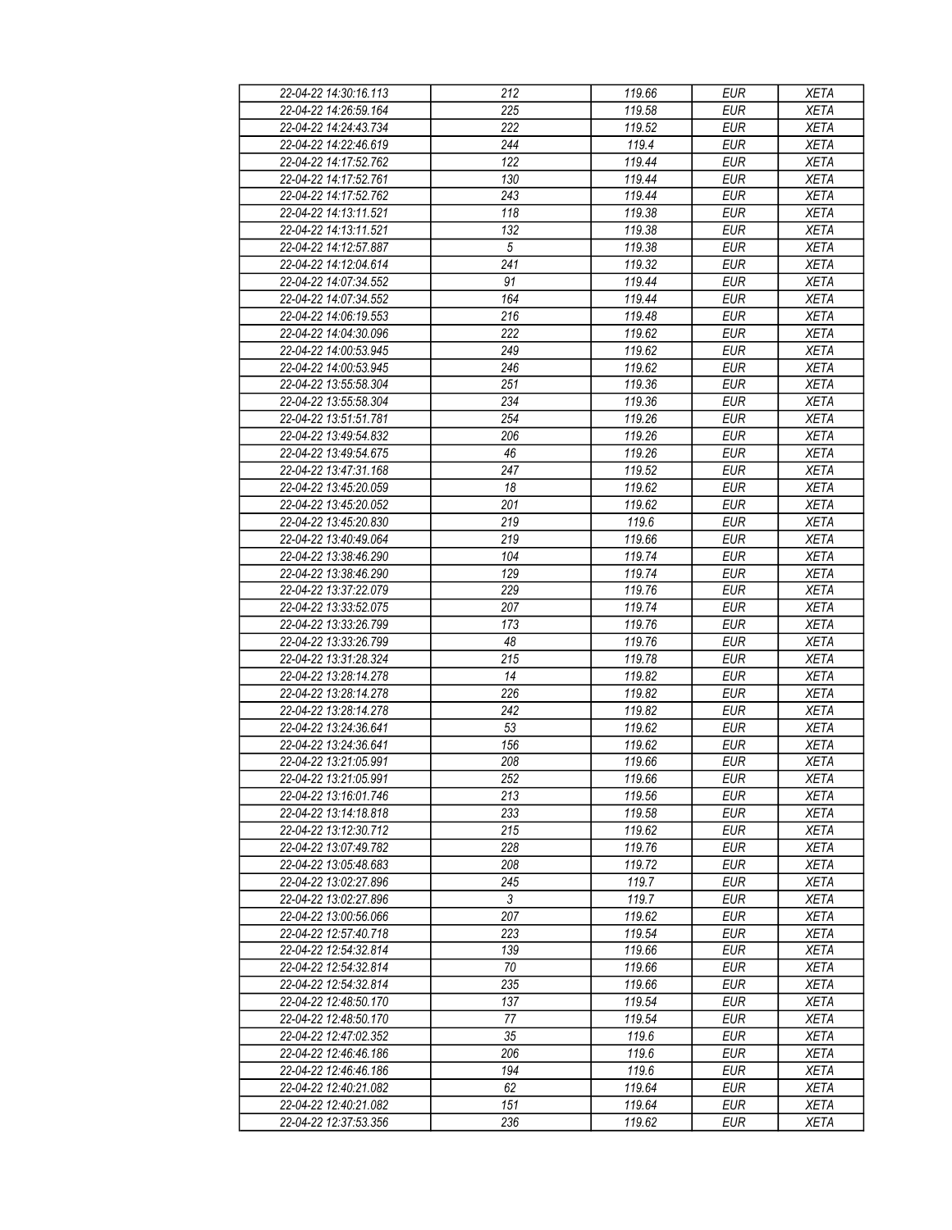| 22-04-22 14:30:16.113 | 212            | 119.66 | <b>EUR</b>               | <b>XETA</b> |
|-----------------------|----------------|--------|--------------------------|-------------|
| 22-04-22 14:26:59.164 | 225            | 119.58 | <b>EUR</b>               | <b>XETA</b> |
| 22-04-22 14:24:43.734 | 222            | 119.52 | <b>EUR</b>               | <b>XETA</b> |
| 22-04-22 14:22:46.619 | 244            | 119.4  | <b>EUR</b>               | <b>XETA</b> |
| 22-04-22 14:17:52.762 | 122            | 119.44 | <b>EUR</b>               | <b>XETA</b> |
| 22-04-22 14:17:52.761 | 130            | 119.44 | <b>EUR</b>               | <b>XETA</b> |
| 22-04-22 14:17:52.762 | 243            | 119.44 | <b>EUR</b>               | <b>XETA</b> |
| 22-04-22 14:13:11.521 | 118            | 119.38 | <b>EUR</b>               | <b>XETA</b> |
| 22-04-22 14:13:11.521 | 132            | 119.38 | <b>EUR</b>               | <b>XETA</b> |
| 22-04-22 14:12:57.887 | $\sqrt{5}$     | 119.38 | <b>EUR</b>               | <b>XETA</b> |
| 22-04-22 14:12:04.614 | 241            | 119.32 | <b>EUR</b>               | <b>XETA</b> |
| 22-04-22 14:07:34.552 | 91             | 119.44 | <b>EUR</b>               | <b>XETA</b> |
| 22-04-22 14:07:34.552 | 164            | 119.44 | <b>EUR</b>               | <b>XETA</b> |
| 22-04-22 14:06:19.553 | 216            | 119.48 | <b>EUR</b>               | <b>XETA</b> |
| 22-04-22 14:04:30.096 | 222            | 119.62 | <b>EUR</b>               | <b>XETA</b> |
| 22-04-22 14:00:53.945 | 249            | 119.62 | <b>EUR</b>               | <b>XETA</b> |
| 22-04-22 14:00:53.945 | 246            | 119.62 | <b>EUR</b>               | <b>XETA</b> |
| 22-04-22 13:55:58.304 | 251            | 119.36 | <b>EUR</b>               | <b>XETA</b> |
| 22-04-22 13:55:58.304 | 234            | 119.36 | <b>EUR</b>               | <b>XETA</b> |
| 22-04-22 13:51:51.781 | 254            | 119.26 | <b>EUR</b>               | <b>XETA</b> |
| 22-04-22 13:49:54.832 | 206            | 119.26 | <b>EUR</b>               | <b>XETA</b> |
| 22-04-22 13:49:54.675 | 46             | 119.26 | <b>EUR</b>               | <b>XETA</b> |
| 22-04-22 13:47:31.168 | 247            | 119.52 | <b>EUR</b>               | <b>XETA</b> |
| 22-04-22 13:45:20.059 | 18             | 119.62 | <b>EUR</b>               | <b>XETA</b> |
| 22-04-22 13:45:20.052 |                |        |                          |             |
|                       | 201            | 119.62 | <b>EUR</b><br><b>EUR</b> | <b>XETA</b> |
| 22-04-22 13:45:20.830 | 219            | 119.6  |                          | <b>XETA</b> |
| 22-04-22 13:40:49.064 | 219<br>104     | 119.66 | <b>EUR</b>               | <b>XETA</b> |
| 22-04-22 13:38:46.290 |                | 119.74 | <b>EUR</b>               | <b>XETA</b> |
| 22-04-22 13:38:46.290 | 129            | 119.74 | <b>EUR</b>               | <b>XETA</b> |
| 22-04-22 13:37:22.079 | 229            | 119.76 | <b>EUR</b>               | <b>XETA</b> |
| 22-04-22 13:33:52.075 | 207            | 119.74 | <b>EUR</b>               | <b>XETA</b> |
| 22-04-22 13:33:26.799 | 173            | 119.76 | <b>EUR</b>               | <b>XETA</b> |
| 22-04-22 13:33:26.799 | 48             | 119.76 | <b>EUR</b>               | <b>XETA</b> |
| 22-04-22 13:31:28.324 | 215            | 119.78 | <b>EUR</b>               | <b>XETA</b> |
| 22-04-22 13:28:14.278 | 14             | 119.82 | <b>EUR</b>               | <b>XETA</b> |
| 22-04-22 13:28:14.278 | 226            | 119.82 | <b>EUR</b>               | <b>XETA</b> |
| 22-04-22 13:28:14.278 | 242            | 119.82 | <b>EUR</b>               | <b>XETA</b> |
| 22-04-22 13:24:36.641 | 53             | 119.62 | <b>EUR</b>               | <b>XETA</b> |
| 22-04-22 13:24:36.641 | 156            | 119.62 | <b>EUR</b>               | <b>XETA</b> |
| 22-04-22 13:21:05.991 | 208            | 119.66 | <b>EUR</b>               | <b>XETA</b> |
| 22-04-22 13:21:05.991 | 252            | 119.66 | EUR                      | <b>XETA</b> |
| 22-04-22 13:16:01.746 | 213            | 119.56 | <b>EUR</b>               | <b>XETA</b> |
| 22-04-22 13:14:18.818 | 233            | 119.58 | <b>EUR</b>               | <b>XETA</b> |
| 22-04-22 13:12:30.712 | 215            | 119.62 | <b>EUR</b>               | <b>XETA</b> |
| 22-04-22 13:07:49.782 | 228            | 119.76 | <b>EUR</b>               | <b>XETA</b> |
| 22-04-22 13:05:48.683 | 208            | 119.72 | <b>EUR</b>               | <b>XETA</b> |
| 22-04-22 13:02:27.896 | 245            | 119.7  | <b>EUR</b>               | <b>XETA</b> |
| 22-04-22 13:02:27.896 | $\mathfrak{Z}$ | 119.7  | <b>EUR</b>               | <b>XETA</b> |
| 22-04-22 13:00:56.066 | 207            | 119.62 | <b>EUR</b>               | <b>XETA</b> |
| 22-04-22 12:57:40.718 | 223            | 119.54 | <b>EUR</b>               | <b>XETA</b> |
| 22-04-22 12:54:32.814 | 139            | 119.66 | <b>EUR</b>               | <b>XETA</b> |
| 22-04-22 12:54:32.814 | 70             | 119.66 | <b>EUR</b>               | <b>XETA</b> |
| 22-04-22 12:54:32.814 | 235            | 119.66 | <b>EUR</b>               | <b>XETA</b> |
| 22-04-22 12:48:50.170 | 137            | 119.54 | <b>EUR</b>               | <b>XETA</b> |
| 22-04-22 12:48:50.170 | 77             | 119.54 | <b>EUR</b>               | <b>XETA</b> |
| 22-04-22 12:47:02.352 | 35             | 119.6  | <b>EUR</b>               | <b>XETA</b> |
| 22-04-22 12:46:46.186 | 206            | 119.6  | <b>EUR</b>               | <b>XETA</b> |
| 22-04-22 12:46:46.186 | 194            | 119.6  | <b>EUR</b>               | <b>XETA</b> |
| 22-04-22 12:40:21.082 | 62             | 119.64 | <b>EUR</b>               | <b>XETA</b> |
| 22-04-22 12:40:21.082 | 151            | 119.64 | <b>EUR</b>               | <b>XETA</b> |
| 22-04-22 12:37:53.356 | 236            | 119.62 | <b>EUR</b>               | <b>XETA</b> |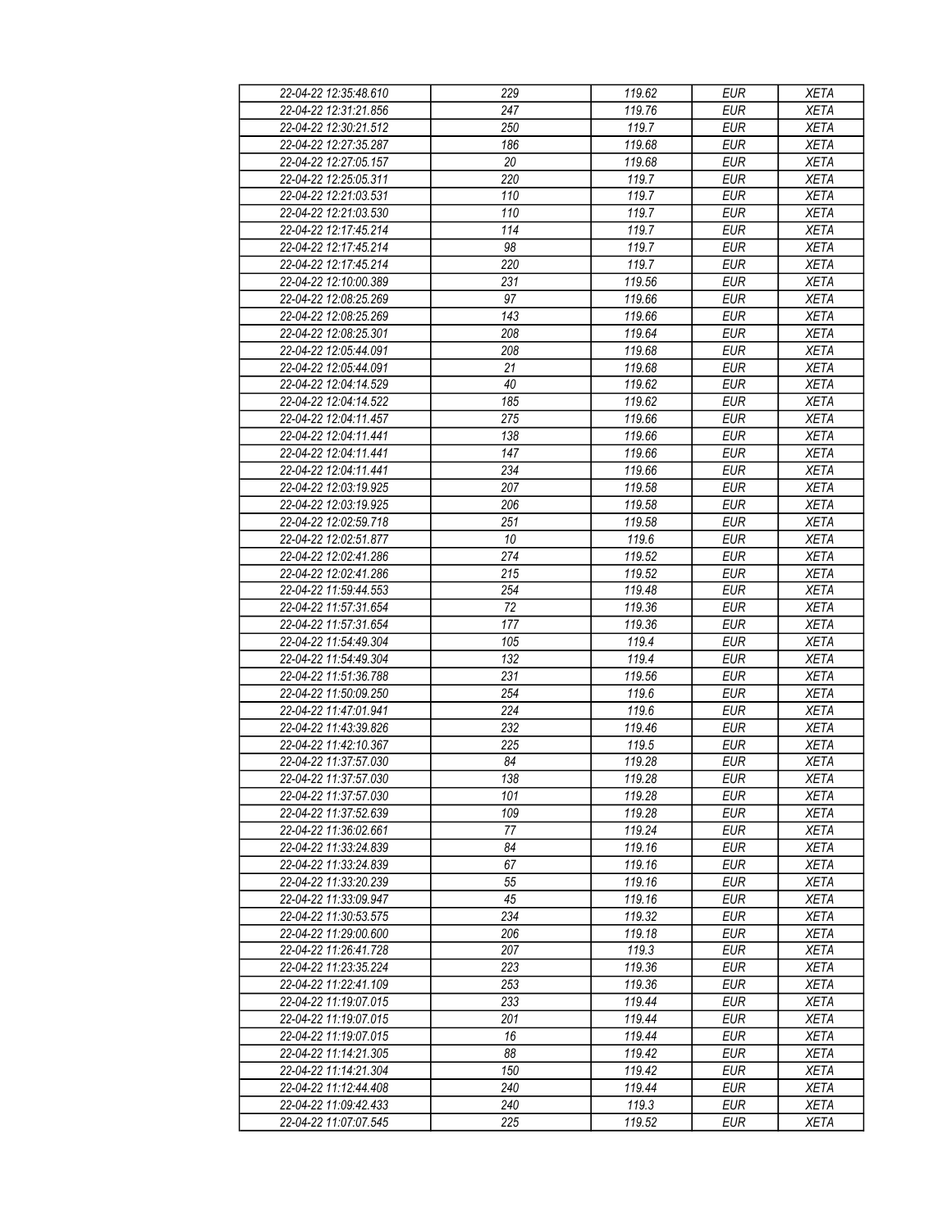| 22-04-22 12:35:48.610                          | 229              | 119.62 | <b>EUR</b>               | <b>XETA</b> |
|------------------------------------------------|------------------|--------|--------------------------|-------------|
| 22-04-22 12:31:21.856                          | 247              | 119.76 | <b>EUR</b>               | <b>XETA</b> |
| 22-04-22 12:30:21.512                          | 250              | 119.7  | <b>EUR</b>               | <b>XETA</b> |
| 22-04-22 12:27:35.287                          | 186              | 119.68 | <b>EUR</b>               | <b>XETA</b> |
| 22-04-22 12:27:05.157                          | 20               | 119.68 | <b>EUR</b>               | <b>XETA</b> |
| 22-04-22 12:25:05.311                          | 220              | 119.7  | <b>EUR</b>               | <b>XETA</b> |
| 22-04-22 12:21:03.531                          | 110              | 119.7  | <b>EUR</b>               | <b>XETA</b> |
| 22-04-22 12:21:03.530                          | 110              | 119.7  | <b>EUR</b>               | <b>XETA</b> |
| 22-04-22 12:17:45.214                          | 114              | 119.7  | <b>EUR</b>               | <b>XETA</b> |
| 22-04-22 12:17:45.214                          | 98               | 119.7  | <b>EUR</b>               | <b>XETA</b> |
| 22-04-22 12:17:45.214                          | 220              | 119.7  | <b>EUR</b>               | <b>XETA</b> |
| 22-04-22 12:10:00.389                          | 231              | 119.56 | <b>EUR</b>               | <b>XETA</b> |
| 22-04-22 12:08:25.269                          | 97               | 119.66 | <b>EUR</b>               | <b>XETA</b> |
| 22-04-22 12:08:25.269                          | 143              | 119.66 | <b>EUR</b>               | <b>XETA</b> |
| 22-04-22 12:08:25.301                          | 208              | 119.64 | <b>EUR</b>               | <b>XETA</b> |
| 22-04-22 12:05:44.091                          | 208              | 119.68 | <b>EUR</b>               | <b>XETA</b> |
| 22-04-22 12:05:44.091                          | $\overline{21}$  | 119.68 | <b>EUR</b>               | <b>XETA</b> |
| 22-04-22 12:04:14.529                          | 40               | 119.62 | <b>EUR</b>               | <b>XETA</b> |
| 22-04-22 12:04:14.522                          | 185              | 119.62 | <b>EUR</b>               | <b>XETA</b> |
|                                                |                  |        |                          |             |
| 22-04-22 12:04:11.457                          | 275              | 119.66 | <b>EUR</b>               | <b>XETA</b> |
| 22-04-22 12:04:11.441<br>22-04-22 12:04:11.441 | 138<br>147       | 119.66 | <b>EUR</b><br><b>EUR</b> | <b>XETA</b> |
|                                                |                  | 119.66 |                          | <b>XETA</b> |
| 22-04-22 12:04:11.441                          | 234              | 119.66 | <b>EUR</b>               | <b>XETA</b> |
| 22-04-22 12:03:19.925                          | 207              | 119.58 | <b>EUR</b>               | <b>XETA</b> |
| 22-04-22 12:03:19.925                          | 206              | 119.58 | <b>EUR</b>               | <b>XETA</b> |
| 22-04-22 12:02:59.718                          | $\overline{251}$ | 119.58 | <b>EUR</b>               | <b>XETA</b> |
| 22-04-22 12:02:51.877                          | 10               | 119.6  | <b>EUR</b>               | <b>XETA</b> |
| 22-04-22 12:02:41.286                          | 274              | 119.52 | <b>EUR</b>               | <b>XETA</b> |
| 22-04-22 12:02:41.286                          | 215              | 119.52 | <b>EUR</b>               | <b>XETA</b> |
| 22-04-22 11:59:44.553                          | 254              | 119.48 | <b>EUR</b>               | <b>XETA</b> |
| 22-04-22 11:57:31.654                          | 72               | 119.36 | <b>EUR</b>               | <b>XETA</b> |
| 22-04-22 11:57:31.654                          | 177              | 119.36 | <b>EUR</b>               | <b>XETA</b> |
| 22-04-22 11:54:49.304                          | 105              | 119.4  | <b>EUR</b>               | <b>XETA</b> |
| 22-04-22 11:54:49.304                          | 132              | 119.4  | <b>EUR</b>               | <b>XETA</b> |
| 22-04-22 11:51:36.788                          | 231              | 119.56 | <b>EUR</b>               | <b>XETA</b> |
| 22-04-22 11:50:09.250                          | 254              | 119.6  | <b>EUR</b>               | <b>XETA</b> |
| 22-04-22 11:47:01.941                          | 224              | 119.6  | <b>EUR</b>               | <b>XETA</b> |
| 22-04-22 11:43:39.826                          | 232              | 119.46 | <b>EUR</b>               | <b>XETA</b> |
| 22-04-22 11:42:10.367                          | 225              | 119.5  | <b>EUR</b>               | <b>XETA</b> |
| 22-04-22 11:37:57.030                          | 84               | 119.28 | <b>EUR</b>               | <b>XETA</b> |
| 22-04-22 11:37:57.030                          | 138              | 119.28 | EUR                      | <b>XETA</b> |
| 22-04-22 11:37:57.030                          | 101              | 119.28 | <b>EUR</b>               | <b>XETA</b> |
| 22-04-22 11:37:52.639                          | 109              | 119.28 | <b>EUR</b>               | <b>XETA</b> |
| 22-04-22 11:36:02.661                          | 77               | 119.24 | <b>EUR</b>               | <b>XETA</b> |
| 22-04-22 11:33:24.839                          | 84               | 119.16 | <b>EUR</b>               | <b>XETA</b> |
| 22-04-22 11:33:24.839                          | 67               | 119.16 | <b>EUR</b>               | <b>XETA</b> |
| 22-04-22 11:33:20.239                          | 55               | 119.16 | <b>EUR</b>               | <b>XETA</b> |
| 22-04-22 11:33:09.947                          | 45               | 119.16 | <b>EUR</b>               | <b>XETA</b> |
| 22-04-22 11:30:53.575                          | 234              | 119.32 | <b>EUR</b>               | <b>XETA</b> |
| 22-04-22 11:29:00.600                          | 206              | 119.18 | <b>EUR</b>               | <b>XETA</b> |
| 22-04-22 11:26:41.728                          | 207              | 119.3  | <b>EUR</b>               | <b>XETA</b> |
| 22-04-22 11:23:35.224                          | 223              | 119.36 | <b>EUR</b>               | <b>XETA</b> |
| 22-04-22 11:22:41.109                          | 253              | 119.36 | <b>EUR</b>               | <b>XETA</b> |
| 22-04-22 11:19:07.015                          | 233              | 119.44 | <b>EUR</b>               | <b>XETA</b> |
| 22-04-22 11:19:07.015                          | 201              | 119.44 | <b>EUR</b>               | <b>XETA</b> |
| 22-04-22 11:19:07.015                          | 16               | 119.44 | <b>EUR</b>               | <b>XETA</b> |
| 22-04-22 11:14:21.305                          | 88               | 119.42 | <b>EUR</b>               | <b>XETA</b> |
| 22-04-22 11:14:21.304                          | 150              | 119.42 | <b>EUR</b>               | <b>XETA</b> |
| 22-04-22 11:12:44.408                          | 240              | 119.44 | <b>EUR</b>               | <b>XETA</b> |
| 22-04-22 11:09:42.433                          | 240              | 119.3  | <b>EUR</b>               | <b>XETA</b> |
| 22-04-22 11:07:07.545                          | 225              | 119.52 | <b>EUR</b>               | <b>XETA</b> |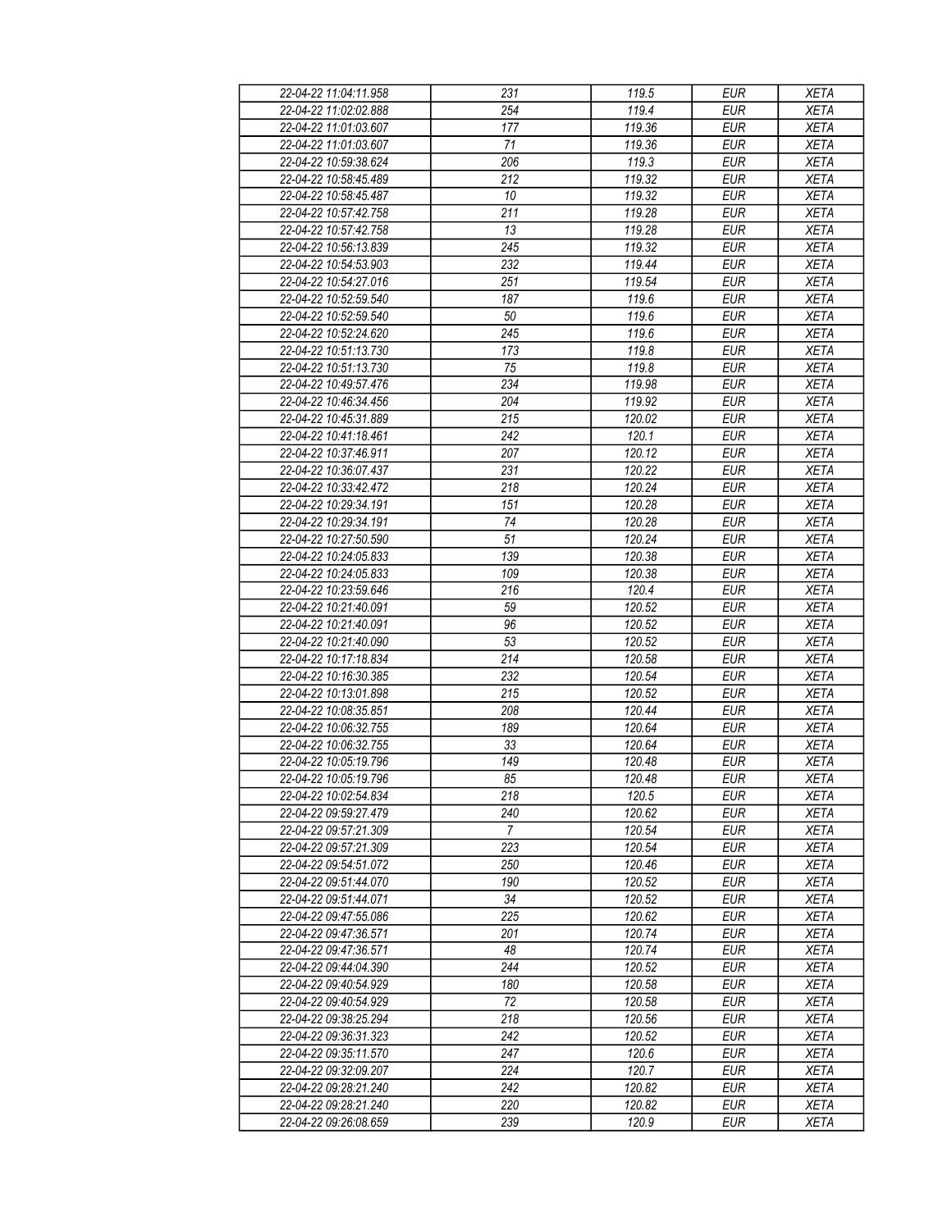| 22-04-22 11:04:11.958 | 231              | 119.5               | <b>EUR</b> | <b>XETA</b> |
|-----------------------|------------------|---------------------|------------|-------------|
| 22-04-22 11:02:02.888 | 254              | 119.4               | <b>EUR</b> | <b>XETA</b> |
| 22-04-22 11:01:03.607 | 177              | 119.36              | <b>EUR</b> | <b>XETA</b> |
| 22-04-22 11:01:03.607 | 71               | 119.36              | <b>EUR</b> | <b>XETA</b> |
| 22-04-22 10:59:38.624 | 206              | 119.3               | <b>EUR</b> | <b>XETA</b> |
| 22-04-22 10:58:45.489 | 212              | 119.32              | <b>EUR</b> | <b>XETA</b> |
| 22-04-22 10:58:45.487 | 10               | 119.32              | <b>EUR</b> | <b>XETA</b> |
|                       | 211              | 119.28              | <b>EUR</b> |             |
| 22-04-22 10:57:42.758 |                  |                     |            | <b>XETA</b> |
| 22-04-22 10:57:42.758 | 13               | 119.28              | <b>EUR</b> | <b>XETA</b> |
| 22-04-22 10:56:13.839 | 245              | 119.32              | <b>EUR</b> | <b>XETA</b> |
| 22-04-22 10:54:53.903 | 232              | 119.44              | <b>EUR</b> | <b>XETA</b> |
| 22-04-22 10:54:27.016 | 251              | 119.54              | <b>EUR</b> | <b>XETA</b> |
| 22-04-22 10:52:59.540 | 187              | 119.6               | <b>EUR</b> | <b>XETA</b> |
| 22-04-22 10:52:59.540 | 50               | 119.6               | <b>EUR</b> | <b>XETA</b> |
| 22-04-22 10:52:24.620 | $\overline{245}$ | 119.6               | <b>EUR</b> | <b>XETA</b> |
| 22-04-22 10:51:13.730 | 173              | 119.8               | <b>EUR</b> | <b>XETA</b> |
| 22-04-22 10:51:13.730 | 75               | 119.8               | <b>EUR</b> | <b>XETA</b> |
| 22-04-22 10:49:57.476 | 234              | 119.98              | <b>EUR</b> | <b>XETA</b> |
| 22-04-22 10:46:34.456 | 204              | 119.92              | <b>EUR</b> | <b>XETA</b> |
| 22-04-22 10:45:31.889 | 215              | 120.02              | <b>EUR</b> | <b>XETA</b> |
| 22-04-22 10:41:18.461 | 242              | 120.1               | <b>EUR</b> | <b>XETA</b> |
| 22-04-22 10:37:46.911 | 207              | 120.12              | <b>EUR</b> | <b>XETA</b> |
| 22-04-22 10:36:07.437 | 231              | 120.22              | <b>EUR</b> | <b>XETA</b> |
| 22-04-22 10:33:42.472 | 218              | 120.24              | <b>EUR</b> | <b>XETA</b> |
| 22-04-22 10:29:34.191 | 151              | 120.28              | <b>EUR</b> | <b>XETA</b> |
| 22-04-22 10:29:34.191 | 74               | 120.28              | <b>EUR</b> | <b>XETA</b> |
| 22-04-22 10:27:50.590 | 51               | 120.24              | <b>EUR</b> | <b>XETA</b> |
| 22-04-22 10:24:05.833 | 139              | 120.38              | <b>EUR</b> | <b>XETA</b> |
| 22-04-22 10:24:05.833 | 109              | 120.38              | <b>EUR</b> | <b>XETA</b> |
| 22-04-22 10:23:59.646 | 216              | 120.4               | <b>EUR</b> | <b>XETA</b> |
| 22-04-22 10:21:40.091 | 59               | 120.52              | <b>EUR</b> | <b>XETA</b> |
| 22-04-22 10:21:40.091 | 96               | 120.52              | <b>EUR</b> | <b>XETA</b> |
| 22-04-22 10:21:40.090 | $\overline{53}$  | 120.52              | <b>EUR</b> | <b>XETA</b> |
| 22-04-22 10:17:18.834 | 214              | 120.58              | <b>EUR</b> | <b>XETA</b> |
| 22-04-22 10:16:30.385 | 232              | 120.54              | <b>EUR</b> | <b>XETA</b> |
| 22-04-22 10:13:01.898 | 215              | 120.52              | <b>EUR</b> | <b>XETA</b> |
|                       |                  | $\overline{120.44}$ |            | <b>XETA</b> |
| 22-04-22 10:08:35.851 | 208              |                     | <b>EUR</b> |             |
| 22-04-22 10:06:32.755 | 189              | 120.64              | <b>EUR</b> | <b>XETA</b> |
| 22-04-22 10:06:32.755 | 33               | 120.64              | <b>EUR</b> | <b>XETA</b> |
| 22-04-22 10:05:19.796 | $\overline{149}$ | 120.48              | <b>EUR</b> | <b>XETA</b> |
| 22-04-22 10:05:19.796 | 85               | 120.48              | EUR        | <b>XETA</b> |
| 22-04-22 10:02:54.834 | 218              | 120.5               | <b>EUR</b> | <b>XETA</b> |
| 22-04-22 09:59:27.479 | 240              | 120.62              | <b>EUR</b> | <b>XETA</b> |
| 22-04-22 09:57:21.309 | $\overline{7}$   | 120.54              | <b>EUR</b> | <b>XETA</b> |
| 22-04-22 09:57:21.309 | 223              | 120.54              | <b>EUR</b> | <b>XETA</b> |
| 22-04-22 09:54:51.072 | 250              | 120.46              | <b>EUR</b> | <b>XETA</b> |
| 22-04-22 09:51:44.070 | 190              | 120.52              | <b>EUR</b> | <b>XETA</b> |
| 22-04-22 09:51:44.071 | 34               | 120.52              | <b>EUR</b> | <b>XETA</b> |
| 22-04-22 09:47:55.086 | 225              | 120.62              | <b>EUR</b> | <b>XETA</b> |
| 22-04-22 09:47:36.571 | 201              | 120.74              | <b>EUR</b> | <b>XETA</b> |
| 22-04-22 09:47:36.571 | 48               | 120.74              | <b>EUR</b> | <b>XETA</b> |
| 22-04-22 09:44:04.390 | 244              | 120.52              | <b>EUR</b> | <b>XETA</b> |
| 22-04-22 09:40:54.929 | 180              | 120.58              | <b>EUR</b> | <b>XETA</b> |
| 22-04-22 09:40:54.929 | 72               | 120.58              | <b>EUR</b> | <b>XETA</b> |
| 22-04-22 09:38:25.294 | 218              | 120.56              | <b>EUR</b> | <b>XETA</b> |
| 22-04-22 09:36:31.323 | 242              | 120.52              | <b>EUR</b> | <b>XETA</b> |
| 22-04-22 09:35:11.570 | 247              | 120.6               | <b>EUR</b> | <b>XETA</b> |
| 22-04-22 09:32:09.207 | 224              | 120.7               | <b>EUR</b> | <b>XETA</b> |
| 22-04-22 09:28:21.240 | 242              | 120.82              | <b>EUR</b> | <b>XETA</b> |
| 22-04-22 09:28:21.240 | 220              | 120.82              | <b>EUR</b> | <b>XETA</b> |
| 22-04-22 09:26:08.659 | 239              | 120.9               | <b>EUR</b> | <b>XETA</b> |
|                       |                  |                     |            |             |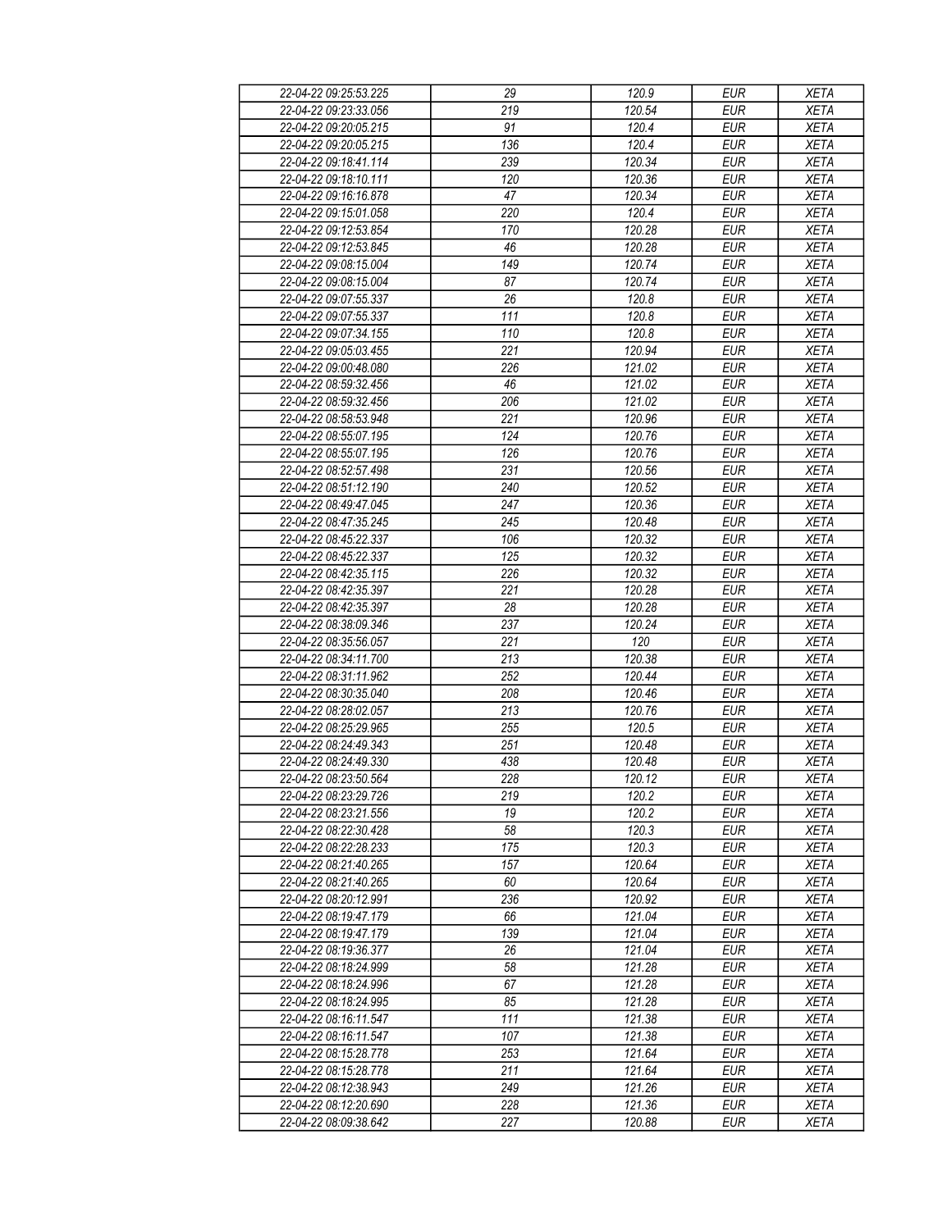| 22-04-22 09:25:53.225 | 29               | 120.9  | <b>EUR</b> | <b>XETA</b> |
|-----------------------|------------------|--------|------------|-------------|
| 22-04-22 09:23:33.056 | 219              | 120.54 | <b>EUR</b> | <b>XETA</b> |
| 22-04-22 09:20:05.215 | 91               | 120.4  | <b>EUR</b> | <b>XETA</b> |
| 22-04-22 09:20:05.215 | 136              | 120.4  | <b>EUR</b> | <b>XETA</b> |
| 22-04-22 09:18:41.114 | 239              | 120.34 | <b>EUR</b> | <b>XETA</b> |
| 22-04-22 09:18:10.111 | 120              | 120.36 | <b>EUR</b> | <b>XETA</b> |
| 22-04-22 09:16:16.878 | 47               | 120.34 | <b>EUR</b> | <b>XETA</b> |
| 22-04-22 09:15:01.058 | 220              | 120.4  | <b>EUR</b> | <b>XETA</b> |
| 22-04-22 09:12:53.854 | 170              | 120.28 | <b>EUR</b> | <b>XETA</b> |
| 22-04-22 09:12:53.845 | 46               | 120.28 | <b>EUR</b> | <b>XETA</b> |
| 22-04-22 09:08:15.004 | 149              | 120.74 | <b>EUR</b> | <b>XETA</b> |
| 22-04-22 09:08:15.004 | 87               | 120.74 | <b>EUR</b> | <b>XETA</b> |
| 22-04-22 09:07:55.337 | 26               | 120.8  | <b>EUR</b> | <b>XETA</b> |
| 22-04-22 09:07:55.337 | 111              | 120.8  | <b>EUR</b> | <b>XETA</b> |
| 22-04-22 09:07:34.155 | 110              | 120.8  | <b>EUR</b> | <b>XETA</b> |
| 22-04-22 09:05:03.455 | 221              | 120.94 | <b>EUR</b> | <b>XETA</b> |
| 22-04-22 09:00:48.080 | 226              | 121.02 | <b>EUR</b> | <b>XETA</b> |
|                       |                  |        |            |             |
| 22-04-22 08:59:32.456 | 46               | 121.02 | <b>EUR</b> | <b>XETA</b> |
| 22-04-22 08:59:32.456 | 206              | 121.02 | <b>EUR</b> | <b>XETA</b> |
| 22-04-22 08:58:53.948 | 221              | 120.96 | <b>EUR</b> | <b>XETA</b> |
| 22-04-22 08:55:07.195 | 124              | 120.76 | <b>EUR</b> | <b>XETA</b> |
| 22-04-22 08:55:07.195 | 126              | 120.76 | <b>EUR</b> | <b>XETA</b> |
| 22-04-22 08:52:57.498 | 231              | 120.56 | <b>EUR</b> | <b>XETA</b> |
| 22-04-22 08:51:12.190 | 240              | 120.52 | <b>EUR</b> | <b>XETA</b> |
| 22-04-22 08:49:47.045 | 247              | 120.36 | <b>EUR</b> | <b>XETA</b> |
| 22-04-22 08:47:35.245 | 245              | 120.48 | <b>EUR</b> | <b>XETA</b> |
| 22-04-22 08:45:22.337 | 106              | 120.32 | <b>EUR</b> | <b>XETA</b> |
| 22-04-22 08:45:22.337 | $\overline{125}$ | 120.32 | <b>EUR</b> | <b>XETA</b> |
| 22-04-22 08:42:35.115 | 226              | 120.32 | <b>EUR</b> | <b>XETA</b> |
| 22-04-22 08:42:35.397 | 221              | 120.28 | <b>EUR</b> | <b>XETA</b> |
| 22-04-22 08:42:35.397 | 28               | 120.28 | <b>EUR</b> | <b>XETA</b> |
| 22-04-22 08:38:09.346 | 237              | 120.24 | <b>EUR</b> | <b>XETA</b> |
| 22-04-22 08:35:56.057 | 221              | 120    | <b>EUR</b> | <b>XETA</b> |
| 22-04-22 08:34:11.700 | 213              | 120.38 | <b>EUR</b> | <b>XETA</b> |
| 22-04-22 08:31:11.962 | 252              | 120.44 | <b>EUR</b> | <b>XETA</b> |
| 22-04-22 08:30:35.040 | 208              | 120.46 | <b>EUR</b> | <b>XETA</b> |
| 22-04-22 08:28:02.057 | 213              | 120.76 | <b>EUR</b> | <b>XETA</b> |
| 22-04-22 08:25:29.965 | 255              | 120.5  | <b>EUR</b> | <b>XETA</b> |
| 22-04-22 08:24:49.343 | 251              | 120.48 | <b>EUR</b> | <b>XETA</b> |
| 22-04-22 08:24:49.330 | 438              | 120.48 | <b>EUR</b> | <b>XETA</b> |
| 22-04-22 08:23:50.564 | 228              | 120.12 | <b>EUR</b> | <b>XETA</b> |
| 22-04-22 08:23:29.726 | 219              | 120.2  | <b>EUR</b> | <b>XETA</b> |
| 22-04-22 08:23:21.556 | 19               | 120.2  | <b>EUR</b> | <b>XETA</b> |
| 22-04-22 08:22:30.428 | 58               | 120.3  | <b>EUR</b> | <b>XETA</b> |
| 22-04-22 08:22:28.233 | 175              | 120.3  | <b>EUR</b> | <b>XETA</b> |
| 22-04-22 08:21:40.265 | 157              | 120.64 | <b>EUR</b> | <b>XETA</b> |
| 22-04-22 08:21:40.265 | 60               | 120.64 | <b>EUR</b> | <b>XETA</b> |
| 22-04-22 08:20:12.991 | 236              | 120.92 | <b>EUR</b> | <b>XETA</b> |
| 22-04-22 08:19:47.179 | 66               | 121.04 | <b>EUR</b> | <b>XETA</b> |
| 22-04-22 08:19:47.179 | 139              | 121.04 | <b>EUR</b> | <b>XETA</b> |
| 22-04-22 08:19:36.377 | 26               | 121.04 | <b>EUR</b> | <b>XETA</b> |
| 22-04-22 08:18:24.999 | 58               | 121.28 | <b>EUR</b> | <b>XETA</b> |
| 22-04-22 08:18:24.996 | 67               | 121.28 | <b>EUR</b> | <b>XETA</b> |
| 22-04-22 08:18:24.995 | 85               | 121.28 | <b>EUR</b> | <b>XETA</b> |
| 22-04-22 08:16:11.547 | 111              | 121.38 | <b>EUR</b> | <b>XETA</b> |
| 22-04-22 08:16:11.547 | 107              | 121.38 | <b>EUR</b> | <b>XETA</b> |
| 22-04-22 08:15:28.778 | 253              | 121.64 | <b>EUR</b> | <b>XETA</b> |
| 22-04-22 08:15:28.778 | 211              | 121.64 | <b>EUR</b> | <b>XETA</b> |
| 22-04-22 08:12:38.943 | 249              | 121.26 | <b>EUR</b> | <b>XETA</b> |
| 22-04-22 08:12:20.690 | 228              | 121.36 | <b>EUR</b> | <b>XETA</b> |
| 22-04-22 08:09:38.642 | 227              | 120.88 | <b>EUR</b> | <b>XETA</b> |
|                       |                  |        |            |             |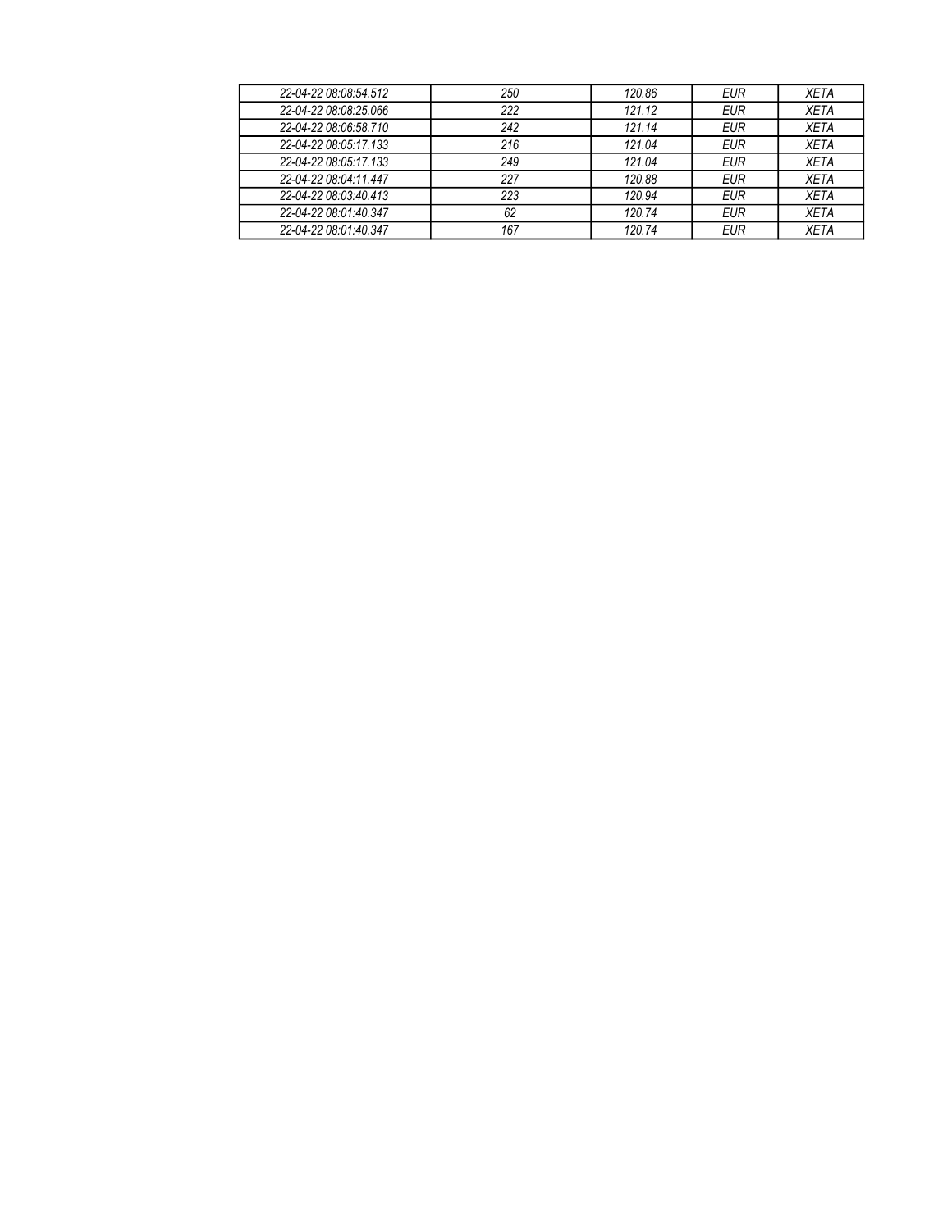| 22-04-22 08:08:54.512 | 250 | 120.86 | <b>EUR</b> | XETA        |
|-----------------------|-----|--------|------------|-------------|
| 22-04-22 08:08:25.066 | 222 | 121.12 | <b>EUR</b> | <b>XETA</b> |
| 22-04-22 08:06:58.710 | 242 | 121.14 | <b>EUR</b> | <b>XETA</b> |
| 22-04-22 08:05:17.133 | 216 | 121.04 | <b>EUR</b> | <b>XETA</b> |
| 22-04-22 08:05:17.133 | 249 | 121.04 | <b>EUR</b> | <b>XETA</b> |
| 22-04-22 08:04:11.447 | 227 | 120.88 | <b>EUR</b> | <b>XETA</b> |
| 22-04-22 08:03:40.413 | 223 | 120.94 | <b>EUR</b> | <b>XETA</b> |
| 22-04-22 08:01:40.347 | 62  | 120.74 | <b>EUR</b> | <b>XETA</b> |
| 22-04-22 08:01:40.347 | 167 | 120.74 | <b>EUR</b> | <b>XETA</b> |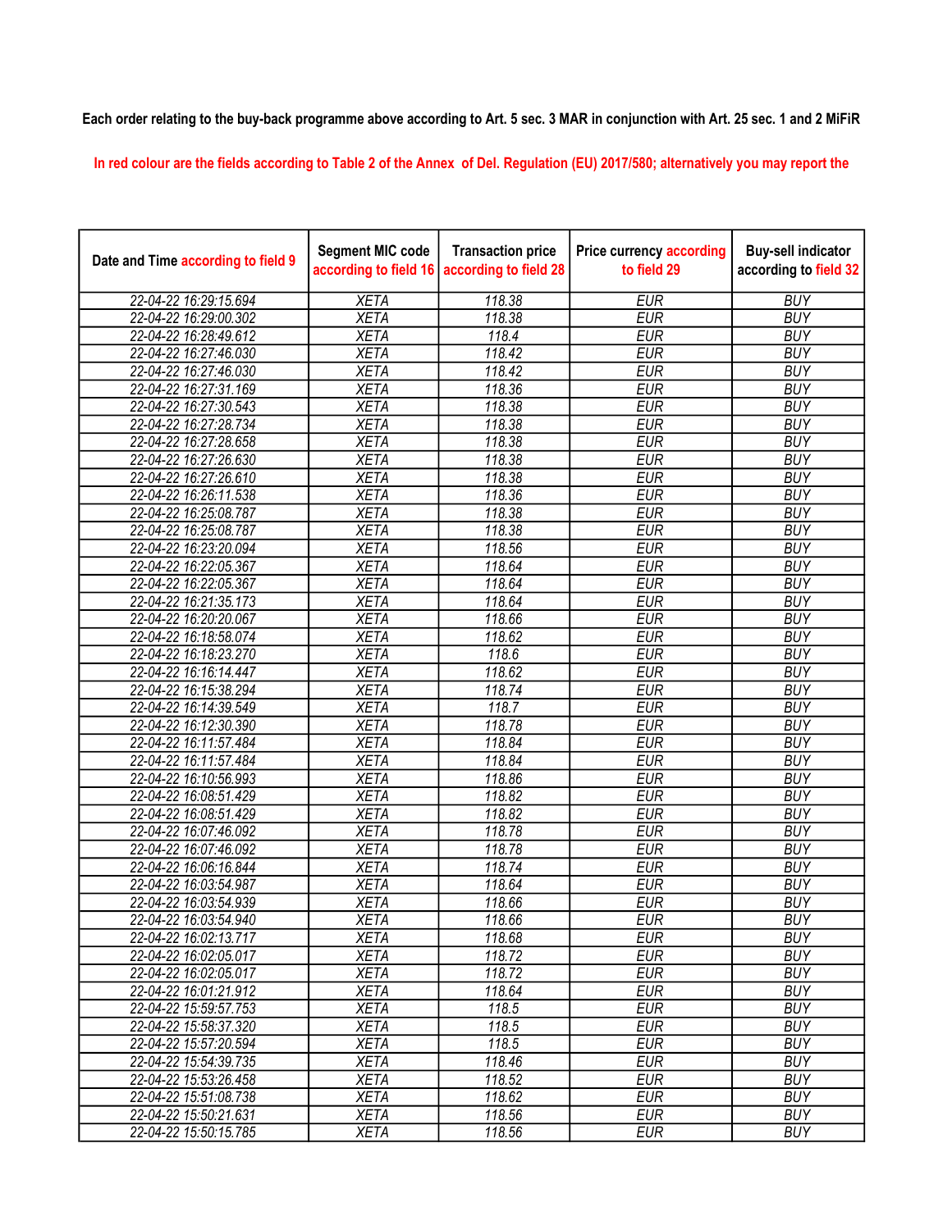## Each order relating to the buy-back programme above according to Art. 5 sec. 3 MAR in conjunction with Art. 25 sec. 1 and 2 MiFiR

In red colour are the fields according to Table 2 of the Annex of Del. Regulation (EU) 2017/580; alternatively you may report the

| Date and Time according to field 9 | <b>Segment MIC code</b><br>according to field 16 | <b>Transaction price</b><br>according to field 28 | <b>Price currency according</b><br>to field 29 | <b>Buy-sell indicator</b><br>according to field 32 |
|------------------------------------|--------------------------------------------------|---------------------------------------------------|------------------------------------------------|----------------------------------------------------|
| 22-04-22 16:29:15.694              | <b>XETA</b>                                      | 118.38                                            | <b>EUR</b>                                     | <b>BUY</b>                                         |
| 22-04-22 16:29:00.302              | <b>XETA</b>                                      | 118.38                                            | <b>EUR</b>                                     | <b>BUY</b>                                         |
| 22-04-22 16:28:49.612              | <b>XETA</b>                                      | 118.4                                             | <b>EUR</b>                                     | <b>BUY</b>                                         |
| 22-04-22 16:27:46.030              | <b>XETA</b>                                      | 118.42                                            | <b>EUR</b>                                     | <b>BUY</b>                                         |
| 22-04-22 16:27:46.030              | <b>XETA</b>                                      | 118.42                                            | <b>EUR</b>                                     | <b>BUY</b>                                         |
| 22-04-22 16:27:31.169              | <b>XETA</b>                                      | 118.36                                            | <b>EUR</b>                                     | <b>BUY</b>                                         |
| 22-04-22 16:27:30.543              | <b>XETA</b>                                      | 118.38                                            | <b>EUR</b>                                     | <b>BUY</b>                                         |
| 22-04-22 16:27:28.734              | <b>XETA</b>                                      | 118.38                                            | <b>EUR</b>                                     | <b>BUY</b>                                         |
| 22-04-22 16:27:28.658              | <b>XETA</b>                                      | 118.38                                            | <b>EUR</b>                                     | <b>BUY</b>                                         |
| 22-04-22 16:27:26.630              | <b>XETA</b>                                      | 118.38                                            | <b>EUR</b>                                     | <b>BUY</b>                                         |
| 22-04-22 16:27:26.610              | <b>XETA</b>                                      | 118.38                                            | <b>EUR</b>                                     | <b>BUY</b>                                         |
| 22-04-22 16:26:11.538              | <b>XETA</b>                                      | 118.36                                            | <b>EUR</b>                                     | <b>BUY</b>                                         |
| 22-04-22 16:25:08.787              | <b>XETA</b>                                      | 118.38                                            | <b>EUR</b>                                     | <b>BUY</b>                                         |
| 22-04-22 16:25:08.787              | <b>XETA</b>                                      | 118.38                                            | <b>EUR</b>                                     | <b>BUY</b>                                         |
| 22-04-22 16:23:20.094              | <b>XETA</b>                                      | 118.56                                            | <b>EUR</b>                                     | <b>BUY</b>                                         |
| 22-04-22 16:22:05.367              | <b>XETA</b>                                      | 118.64                                            | <b>EUR</b>                                     | <b>BUY</b>                                         |
| 22-04-22 16:22:05.367              | <b>XETA</b>                                      | 118.64                                            | <b>EUR</b>                                     | <b>BUY</b>                                         |
| 22-04-22 16:21:35.173              | <b>XETA</b>                                      | 118.64                                            | <b>EUR</b>                                     | <b>BUY</b>                                         |
| 22-04-22 16:20:20.067              | <b>XETA</b>                                      | 118.66                                            | <b>EUR</b>                                     | <b>BUY</b>                                         |
| 22-04-22 16:18:58.074              | <b>XETA</b>                                      | 118.62                                            | <b>EUR</b>                                     | <b>BUY</b>                                         |
| 22-04-22 16:18:23.270              | <b>XETA</b>                                      | 118.6                                             | <b>EUR</b>                                     | <b>BUY</b>                                         |
| 22-04-22 16:16:14.447              | <b>XETA</b>                                      | 118.62                                            | <b>EUR</b>                                     | <b>BUY</b>                                         |
| 22-04-22 16:15:38.294              | <b>XETA</b>                                      | 118.74                                            | <b>EUR</b>                                     | <b>BUY</b>                                         |
| 22-04-22 16:14:39.549              | <b>XETA</b>                                      | 118.7                                             | <b>EUR</b>                                     | <b>BUY</b>                                         |
| 22-04-22 16:12:30.390              | <b>XETA</b>                                      | 118.78                                            | <b>EUR</b>                                     | <b>BUY</b>                                         |
| 22-04-22 16:11:57.484              | <b>XETA</b>                                      | 118.84                                            | <b>EUR</b>                                     | <b>BUY</b>                                         |
| 22-04-22 16:11:57.484              | <b>XETA</b>                                      | 118.84                                            | <b>EUR</b>                                     | <b>BUY</b>                                         |
| 22-04-22 16:10:56.993              | <b>XETA</b>                                      | 118.86                                            | <b>EUR</b>                                     | <b>BUY</b>                                         |
| 22-04-22 16:08:51.429              | <b>XETA</b>                                      | 118.82                                            | <b>EUR</b>                                     | <b>BUY</b>                                         |
| 22-04-22 16:08:51.429              | <b>XETA</b>                                      | 118.82                                            | <b>EUR</b>                                     | <b>BUY</b>                                         |
| 22-04-22 16:07:46.092              | <b>XETA</b>                                      | 118.78                                            | <b>EUR</b>                                     | <b>BUY</b>                                         |
| 22-04-22 16:07:46.092              | <b>XETA</b>                                      | 118.78                                            | <b>EUR</b>                                     | <b>BUY</b>                                         |
| 22-04-22 16:06:16.844              | <b>XETA</b>                                      | 118.74                                            | <b>EUR</b>                                     | <b>BUY</b>                                         |
| 22-04-22 16:03:54.987              | <b>XETA</b>                                      | 118.64                                            | <b>EUR</b>                                     | <b>BUY</b>                                         |
| 22-04-22 16:03:54.939              | <b>XETA</b>                                      | 118.66                                            | <b>EUR</b>                                     | <b>BUY</b>                                         |
| 22-04-22 16:03:54.940              | <b>XETA</b>                                      | 118.66                                            | <b>EUR</b>                                     | <b>BUY</b>                                         |
| 22-04-22 16:02:13.717              | <b>XETA</b>                                      | 118.68                                            | <b>EUR</b>                                     | <b>BUY</b>                                         |
| 22-04-22 16:02:05.017              | <b>XETA</b>                                      | 118.72                                            | <b>EUR</b>                                     | <b>BUY</b>                                         |
| 22-04-22 16:02:05.017              | <b>XETA</b>                                      | 118.72                                            | <b>EUR</b>                                     | <b>BUY</b>                                         |
| 22-04-22 16:01:21.912              | <b>XETA</b>                                      | 118.64                                            | <b>EUR</b>                                     | <b>BUY</b>                                         |
| 22-04-22 15:59:57.753              | <b>XETA</b>                                      | 118.5                                             | <b>EUR</b>                                     | <b>BUY</b>                                         |
| 22-04-22 15:58:37.320              | <b>XETA</b>                                      | 118.5                                             | <b>EUR</b>                                     | <b>BUY</b>                                         |
| 22-04-22 15:57:20.594              | <b>XETA</b>                                      | 118.5                                             | <b>EUR</b>                                     | <b>BUY</b>                                         |
| 22-04-22 15:54:39.735              | <b>XETA</b>                                      | 118.46                                            | <b>EUR</b>                                     | <b>BUY</b>                                         |
| 22-04-22 15:53:26.458              | <b>XETA</b>                                      | 118.52                                            | <b>EUR</b>                                     | <b>BUY</b>                                         |
| 22-04-22 15:51:08.738              | <b>XETA</b>                                      | 118.62                                            | <b>EUR</b>                                     | <b>BUY</b>                                         |
| 22-04-22 15:50:21.631              | <b>XETA</b>                                      | 118.56                                            | <b>EUR</b>                                     | <b>BUY</b>                                         |
| 22-04-22 15:50:15.785              | <b>XETA</b>                                      | 118.56                                            | <b>EUR</b>                                     | <b>BUY</b>                                         |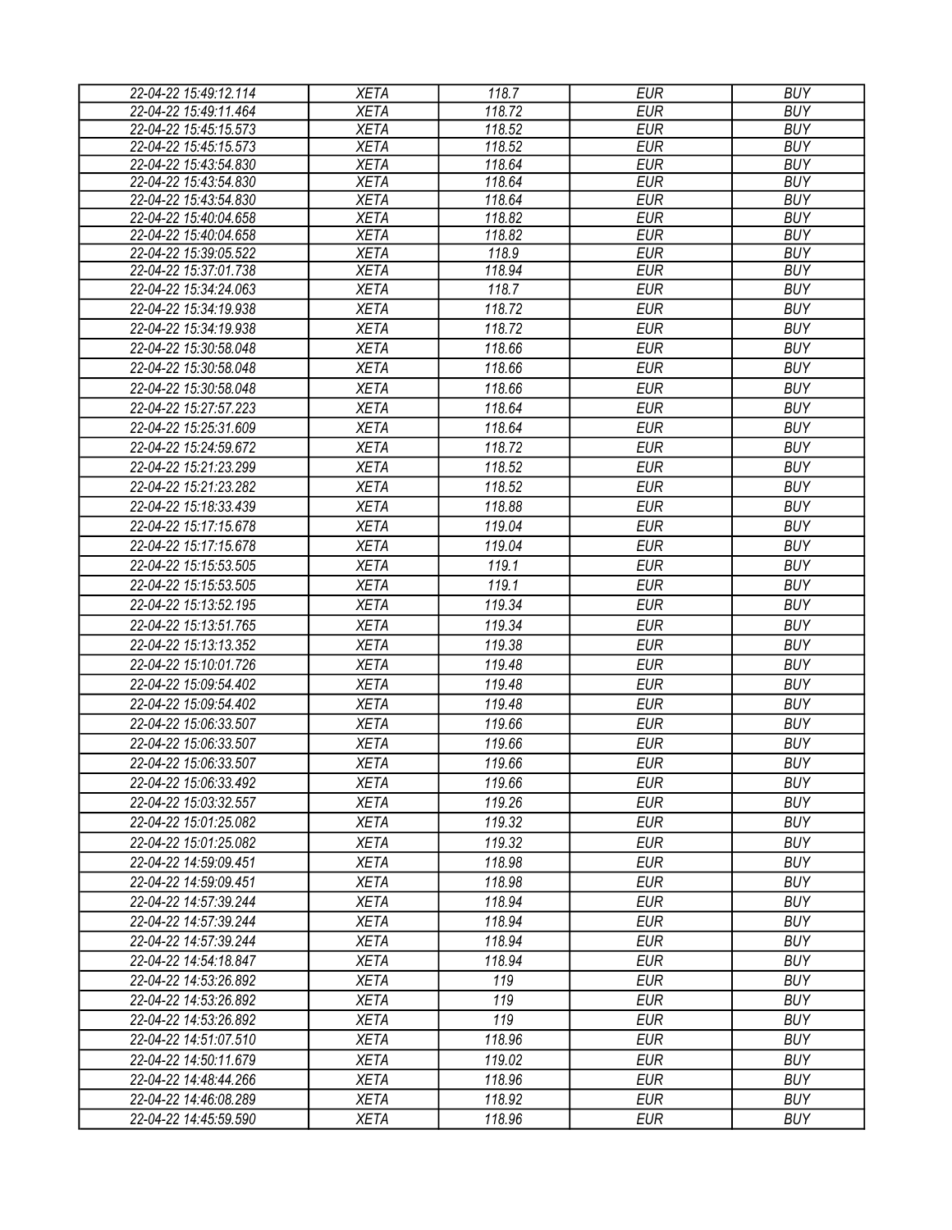| 22-04-22 15:49:12.114                          | <b>XETA</b>                | 118.7           | <b>EUR</b>               | <b>BUY</b>               |
|------------------------------------------------|----------------------------|-----------------|--------------------------|--------------------------|
| 22-04-22 15:49:11.464                          | <b>XETA</b>                | 118.72          | <b>EUR</b>               | <b>BUY</b>               |
| 22-04-22 15:45:15.573                          | <b>XETA</b>                | 118.52          | <b>EUR</b>               | <b>BUY</b>               |
| 22-04-22 15:45:15.573                          | <b>XETA</b>                | 118.52          | <b>EUR</b>               | <b>BUY</b>               |
| 22-04-22 15:43:54.830                          | <b>XETA</b>                | 118.64          | <b>EUR</b>               | <b>BUY</b>               |
| 22-04-22 15:43:54.830                          | <b>XETA</b>                | 118.64          | <b>EUR</b>               | <b>BUY</b>               |
| 22-04-22 15:43:54.830                          | <b>XETA</b>                | 118.64          | <b>EUR</b>               | <b>BUY</b>               |
| 22-04-22 15:40:04.658                          | <b>XETA</b>                | 118.82          | <b>EUR</b>               | <b>BUY</b>               |
| 22-04-22 15:40:04.658                          | <b>XETA</b>                | 118.82          | <b>EUR</b>               | <b>BUY</b>               |
| 22-04-22 15:39:05.522<br>22-04-22 15:37:01.738 | <b>XETA</b><br><b>XETA</b> | 118.9<br>118.94 | <b>EUR</b><br><b>EUR</b> | <b>BUY</b><br><b>BUY</b> |
| 22-04-22 15:34:24.063                          | <b>XETA</b>                | 118.7           | <b>EUR</b>               | <b>BUY</b>               |
|                                                |                            | 118.72          | <b>EUR</b>               | <b>BUY</b>               |
| 22-04-22 15:34:19.938                          | <b>XETA</b>                |                 |                          |                          |
| 22-04-22 15:34:19.938                          | <b>XETA</b>                | 118.72          | <b>EUR</b>               | <b>BUY</b>               |
| 22-04-22 15:30:58.048                          | <b>XETA</b>                | 118.66          | <b>EUR</b>               | <b>BUY</b>               |
| 22-04-22 15:30:58.048                          | <b>XETA</b>                | 118.66          | <b>EUR</b>               | <b>BUY</b>               |
| 22-04-22 15:30:58.048                          | <b>XETA</b>                | 118.66          | <b>EUR</b>               | <b>BUY</b>               |
| 22-04-22 15:27:57.223                          | <b>XETA</b>                | 118.64          | <b>EUR</b>               | <b>BUY</b>               |
| 22-04-22 15:25:31.609                          | <b>XETA</b>                | 118.64          | <b>EUR</b>               | <b>BUY</b>               |
| 22-04-22 15:24:59.672                          | <b>XETA</b>                | 118.72          | <b>EUR</b>               | <b>BUY</b>               |
| 22-04-22 15:21:23.299                          | <b>XETA</b>                | 118.52          | <b>EUR</b>               | <b>BUY</b>               |
| 22-04-22 15:21:23.282                          | <b>XETA</b>                | 118.52          | <b>EUR</b>               | <b>BUY</b>               |
| 22-04-22 15:18:33.439                          | <b>XETA</b>                | 118.88          | <b>EUR</b>               | <b>BUY</b>               |
| 22-04-22 15:17:15.678                          | <b>XETA</b>                | 119.04          | <b>EUR</b>               | <b>BUY</b>               |
| 22-04-22 15:17:15.678                          | <b>XETA</b>                | 119.04          | <b>EUR</b>               | <b>BUY</b>               |
| 22-04-22 15:15:53.505                          | <b>XETA</b>                | 119.1           | <b>EUR</b>               | <b>BUY</b>               |
| 22-04-22 15:15:53.505                          | <b>XETA</b>                | 119.1           | <b>EUR</b>               | <b>BUY</b>               |
| 22-04-22 15:13:52.195                          | <b>XETA</b>                | 119.34          | <b>EUR</b>               | <b>BUY</b>               |
| 22-04-22 15:13:51.765                          | <b>XETA</b>                | 119.34          | <b>EUR</b>               | <b>BUY</b>               |
| 22-04-22 15:13:13.352                          | <b>XETA</b>                | 119.38          | <b>EUR</b>               | <b>BUY</b>               |
| 22-04-22 15:10:01.726                          | <b>XETA</b>                | 119.48          | <b>EUR</b>               | <b>BUY</b>               |
| 22-04-22 15:09:54.402                          | <b>XETA</b>                | 119.48          | <b>EUR</b>               | <b>BUY</b>               |
|                                                |                            |                 |                          |                          |
| 22-04-22 15:09:54.402                          | <b>XETA</b>                | 119.48          | <b>EUR</b>               | <b>BUY</b>               |
| 22-04-22 15:06:33.507                          | <b>XETA</b>                | 119.66          | <b>EUR</b>               | <b>BUY</b>               |
| 22-04-22 15:06:33.507                          | <b>XETA</b>                | 119.66          | <b>EUR</b>               | <b>BUY</b>               |
| 22-04-22 15:06:33.507                          | <b>XETA</b>                | 119.66          | <b>EUR</b>               | <b>BUY</b>               |
| 22-04-22 15:06:33.492                          | <b>XETA</b>                | 119.66          | <b>EUR</b>               | <b>BUY</b>               |
| 22-04-22 15:03:32.557                          | <b>XETA</b>                | 119.26          | EUR                      | <b>BUY</b>               |
| 22-04-22 15:01:25.082                          | <b>XETA</b>                | 119.32          | EUR                      | <b>BUY</b>               |
| 22-04-22 15:01:25.082                          | <b>XETA</b>                | 119.32          | <b>EUR</b>               | <b>BUY</b>               |
| 22-04-22 14:59:09.451                          | <b>XETA</b>                | 118.98          | <b>EUR</b>               | <b>BUY</b>               |
| 22-04-22 14:59:09.451                          | <b>XETA</b>                | 118.98          | <b>EUR</b>               | <b>BUY</b>               |
| 22-04-22 14:57:39.244                          | <b>XETA</b>                | 118.94          | <b>EUR</b>               | <b>BUY</b>               |
| 22-04-22 14:57:39.244                          | <b>XETA</b>                | 118.94          | <b>EUR</b>               | <b>BUY</b>               |
| 22-04-22 14:57:39.244                          | <b>XETA</b>                | 118.94          | <b>EUR</b>               | <b>BUY</b>               |
| 22-04-22 14:54:18.847                          | <b>XETA</b>                | 118.94          | <b>EUR</b>               | <b>BUY</b>               |
| 22-04-22 14:53:26.892                          | <b>XETA</b>                | 119             | <b>EUR</b>               | <b>BUY</b>               |
| 22-04-22 14:53:26.892                          | <b>XETA</b>                | 119             | <b>EUR</b>               | <b>BUY</b>               |
| 22-04-22 14:53:26.892                          | <b>XETA</b>                | 119             | <b>EUR</b>               | <b>BUY</b>               |
| 22-04-22 14:51:07.510                          | <b>XETA</b>                | 118.96          | <b>EUR</b>               | <b>BUY</b>               |
| 22-04-22 14:50:11.679                          | <b>XETA</b>                | 119.02          | <b>EUR</b>               | <b>BUY</b>               |
| 22-04-22 14:48:44.266                          | <b>XETA</b>                | 118.96          | <b>EUR</b>               | <b>BUY</b>               |
| 22-04-22 14:46:08.289                          | <b>XETA</b>                | 118.92          | <b>EUR</b>               | <b>BUY</b>               |
| 22-04-22 14:45:59.590                          | XETA                       | 118.96          | <b>EUR</b>               | <b>BUY</b>               |
|                                                |                            |                 |                          |                          |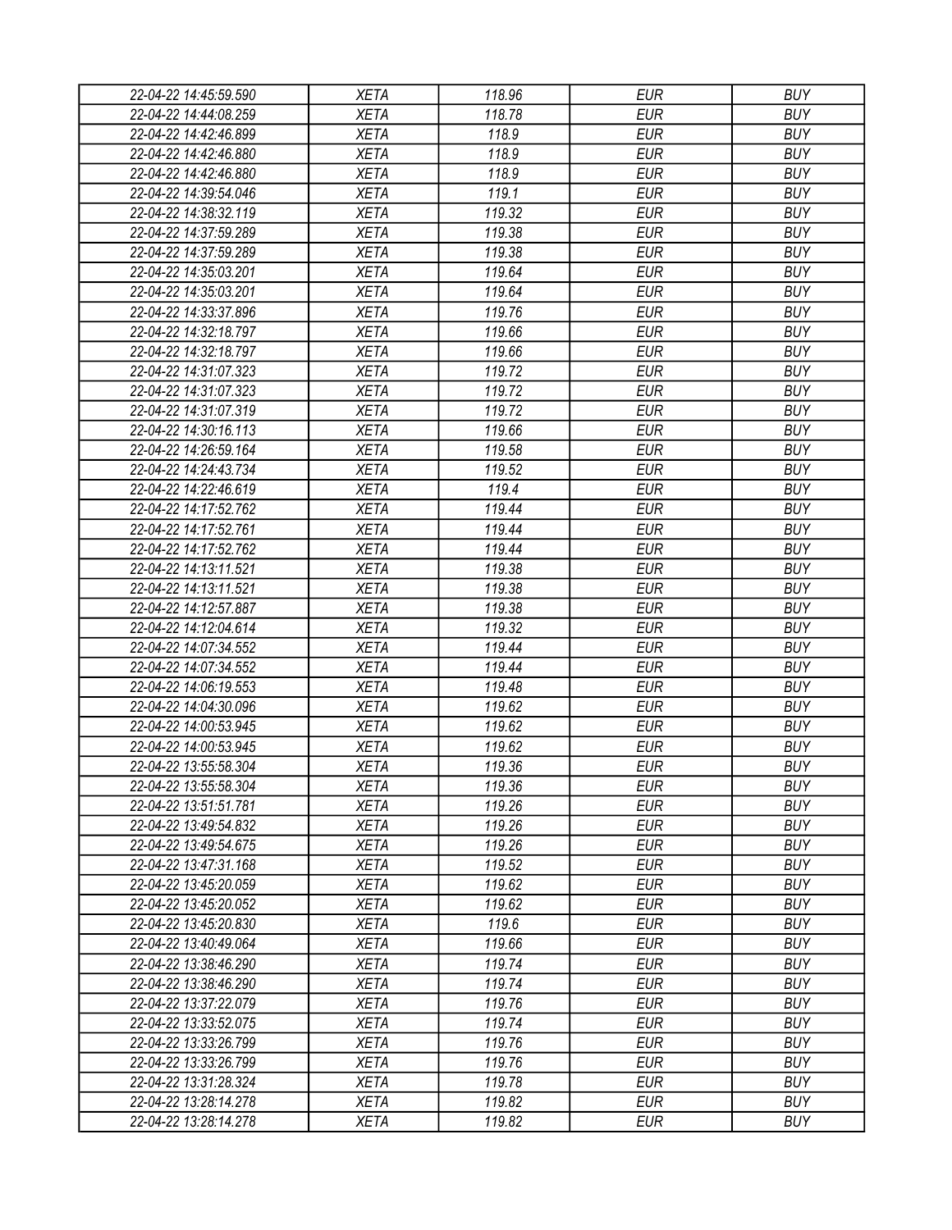| 22-04-22 14:45:59.590 | XETA                       | 118.96 | <b>EUR</b> | <b>BUY</b>               |
|-----------------------|----------------------------|--------|------------|--------------------------|
| 22-04-22 14:44:08.259 | <b>XETA</b>                | 118.78 | <b>EUR</b> | <b>BUY</b>               |
| 22-04-22 14:42:46.899 | <b>XETA</b>                | 118.9  | <b>EUR</b> | <b>BUY</b>               |
| 22-04-22 14:42:46.880 | <b>XETA</b>                | 118.9  | <b>EUR</b> | <b>BUY</b>               |
| 22-04-22 14:42:46.880 | <b>XETA</b>                | 118.9  | <b>EUR</b> | <b>BUY</b>               |
| 22-04-22 14:39:54.046 | <b>XETA</b>                | 119.1  | <b>EUR</b> | <b>BUY</b>               |
| 22-04-22 14:38:32.119 | <b>XETA</b>                | 119.32 | <b>EUR</b> | <b>BUY</b>               |
| 22-04-22 14:37:59.289 | <b>XETA</b>                | 119.38 | <b>EUR</b> | <b>BUY</b>               |
| 22-04-22 14:37:59.289 | <b>XETA</b>                | 119.38 | <b>EUR</b> | <b>BUY</b>               |
| 22-04-22 14:35:03.201 | <b>XETA</b>                | 119.64 | <b>EUR</b> | <b>BUY</b>               |
| 22-04-22 14:35:03.201 | <b>XETA</b>                | 119.64 | <b>EUR</b> | <b>BUY</b>               |
| 22-04-22 14:33:37.896 | <b>XETA</b>                | 119.76 | <b>EUR</b> | <b>BUY</b>               |
| 22-04-22 14:32:18.797 | <b>XETA</b>                | 119.66 | <b>EUR</b> | <b>BUY</b>               |
| 22-04-22 14:32:18.797 | <b>XETA</b>                | 119.66 | <b>EUR</b> | <b>BUY</b>               |
| 22-04-22 14:31:07.323 | <b>XETA</b>                | 119.72 | <b>EUR</b> | <b>BUY</b>               |
| 22-04-22 14:31:07.323 | <b>XETA</b>                | 119.72 | <b>EUR</b> | <b>BUY</b>               |
| 22-04-22 14:31:07.319 | <b>XETA</b>                | 119.72 | <b>EUR</b> | <b>BUY</b>               |
| 22-04-22 14:30:16.113 | <b>XETA</b>                | 119.66 | <b>EUR</b> | <b>BUY</b>               |
| 22-04-22 14:26:59.164 | <b>XETA</b>                | 119.58 | <b>EUR</b> | <b>BUY</b>               |
| 22-04-22 14:24:43.734 | <b>XETA</b>                | 119.52 | <b>EUR</b> | <b>BUY</b>               |
| 22-04-22 14:22:46.619 | <b>XETA</b>                | 119.4  | <b>EUR</b> | <b>BUY</b>               |
| 22-04-22 14:17:52.762 | <b>XETA</b>                | 119.44 | <b>EUR</b> | <b>BUY</b>               |
| 22-04-22 14:17:52.761 | <b>XETA</b>                | 119.44 | <b>EUR</b> | <b>BUY</b>               |
| 22-04-22 14:17:52.762 | <b>XETA</b>                | 119.44 | <b>EUR</b> | <b>BUY</b>               |
| 22-04-22 14:13:11.521 | <b>XETA</b>                | 119.38 | <b>EUR</b> | <b>BUY</b>               |
| 22-04-22 14:13:11.521 | <b>XETA</b>                | 119.38 | <b>EUR</b> | <b>BUY</b>               |
| 22-04-22 14:12:57.887 | <b>XETA</b>                | 119.38 | <b>EUR</b> | <b>BUY</b>               |
| 22-04-22 14:12:04.614 | <b>XETA</b>                | 119.32 | <b>EUR</b> | <b>BUY</b>               |
| 22-04-22 14:07:34.552 | <b>XETA</b>                | 119.44 | <b>EUR</b> | <b>BUY</b>               |
| 22-04-22 14:07:34.552 | <b>XETA</b>                | 119.44 | <b>EUR</b> | <b>BUY</b>               |
| 22-04-22 14:06:19.553 | <b>XETA</b>                | 119.48 | <b>EUR</b> | <b>BUY</b>               |
| 22-04-22 14:04:30.096 | <b>XETA</b>                | 119.62 | <b>EUR</b> | <b>BUY</b>               |
| 22-04-22 14:00:53.945 | <b>XETA</b>                | 119.62 | <b>EUR</b> | <b>BUY</b>               |
| 22-04-22 14:00:53.945 | <b>XETA</b>                | 119.62 | <b>EUR</b> | <b>BUY</b>               |
|                       |                            |        | <b>EUR</b> |                          |
| 22-04-22 13:55:58.304 | <b>XETA</b><br><b>XETA</b> | 119.36 |            | <b>BUY</b><br><b>BUY</b> |
| 22-04-22 13:55:58.304 |                            | 119.36 | <b>EUR</b> |                          |
| 22-04-22 13:51:51.781 | <b>XETA</b>                | 119.26 | <b>EUR</b> | <b>BUY</b>               |
| 22-04-22 13:49:54.832 | <b>XETA</b>                | 119.26 | <b>EUR</b> | <b>BUY</b>               |
| 22-04-22 13:49:54.675 | <b>XETA</b>                | 119.26 | <b>EUR</b> | <b>BUY</b><br><b>BUY</b> |
| 22-04-22 13:47:31.168 | <b>XETA</b>                | 119.52 | <b>EUR</b> |                          |
| 22-04-22 13:45:20.059 | <b>XETA</b>                | 119.62 | <b>EUR</b> | <b>BUY</b>               |
| 22-04-22 13:45:20.052 | <b>XETA</b>                | 119.62 | <b>EUR</b> | <b>BUY</b>               |
| 22-04-22 13:45:20.830 | <b>XETA</b>                | 119.6  | <b>EUR</b> | <b>BUY</b>               |
| 22-04-22 13:40:49.064 | <b>XETA</b>                | 119.66 | <b>EUR</b> | <b>BUY</b>               |
| 22-04-22 13:38:46.290 | <b>XETA</b>                | 119.74 | <b>EUR</b> | <b>BUY</b>               |
| 22-04-22 13:38:46.290 | <b>XETA</b>                | 119.74 | <b>EUR</b> | <b>BUY</b>               |
| 22-04-22 13:37:22.079 | <b>XETA</b>                | 119.76 | <b>EUR</b> | <b>BUY</b>               |
| 22-04-22 13:33:52.075 | <b>XETA</b>                | 119.74 | <b>EUR</b> | <b>BUY</b>               |
| 22-04-22 13:33:26.799 | <b>XETA</b>                | 119.76 | <b>EUR</b> | <b>BUY</b>               |
| 22-04-22 13:33:26.799 | <b>XETA</b>                | 119.76 | <b>EUR</b> | <b>BUY</b>               |
| 22-04-22 13:31:28.324 | <b>XETA</b>                | 119.78 | EUR        | <b>BUY</b>               |
| 22-04-22 13:28:14.278 | <b>XETA</b>                | 119.82 | <b>EUR</b> | <b>BUY</b>               |
| 22-04-22 13:28:14.278 | <b>XETA</b>                | 119.82 | <b>EUR</b> | <b>BUY</b>               |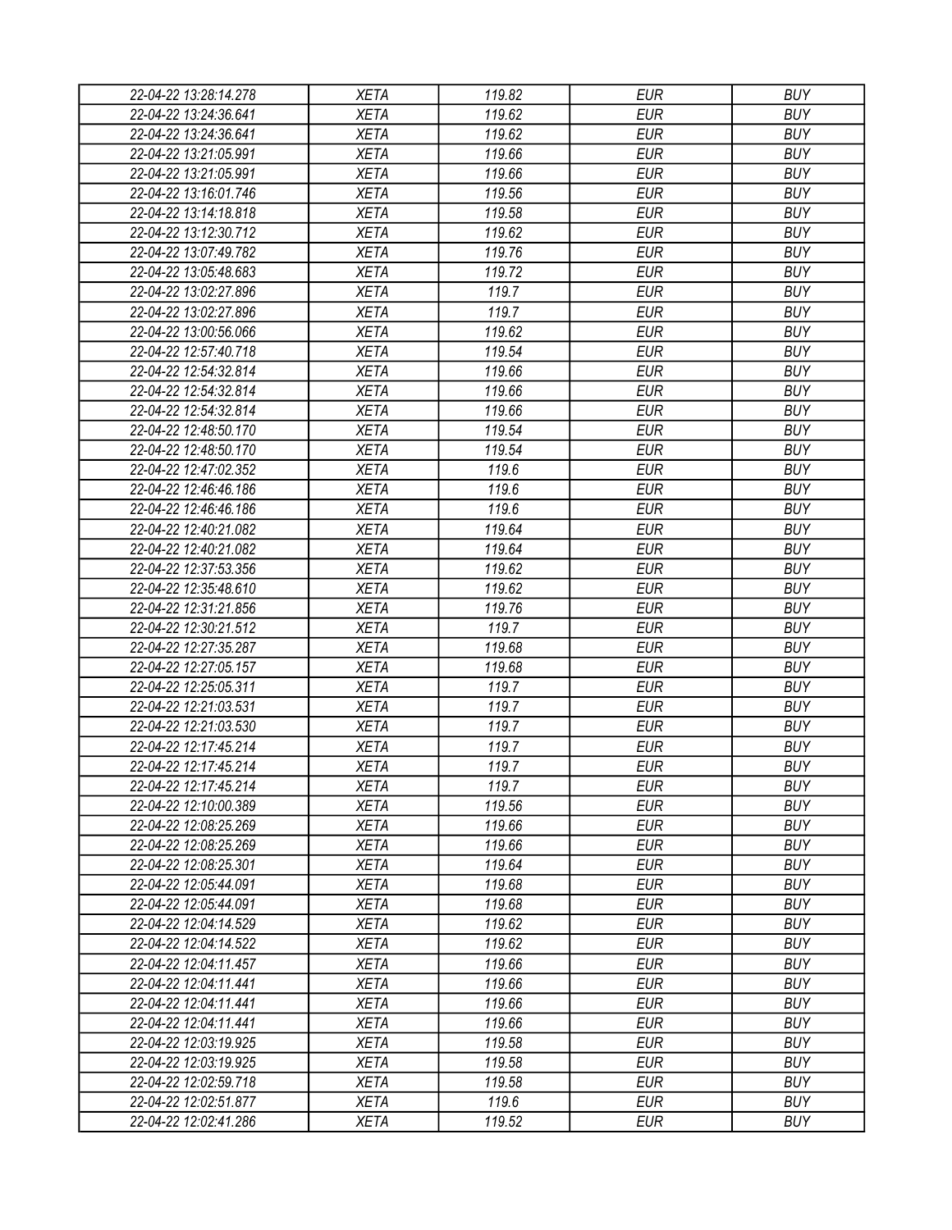| 22-04-22 13:28:14.278 | <b>XETA</b> | 119.82 | <b>EUR</b> | <b>BUY</b> |
|-----------------------|-------------|--------|------------|------------|
| 22-04-22 13:24:36.641 | <b>XETA</b> | 119.62 | <b>EUR</b> | <b>BUY</b> |
| 22-04-22 13:24:36.641 | <b>XETA</b> | 119.62 | <b>EUR</b> | <b>BUY</b> |
| 22-04-22 13:21:05.991 | <b>XETA</b> | 119.66 | <b>EUR</b> | <b>BUY</b> |
| 22-04-22 13:21:05.991 | <b>XETA</b> | 119.66 | <b>EUR</b> | <b>BUY</b> |
| 22-04-22 13:16:01.746 | <b>XETA</b> | 119.56 | <b>EUR</b> | <b>BUY</b> |
| 22-04-22 13:14:18.818 | <b>XETA</b> | 119.58 | <b>EUR</b> | <b>BUY</b> |
| 22-04-22 13:12:30.712 | <b>XETA</b> | 119.62 | <b>EUR</b> | <b>BUY</b> |
| 22-04-22 13:07:49.782 | <b>XETA</b> | 119.76 | <b>EUR</b> | <b>BUY</b> |
| 22-04-22 13:05:48.683 | <b>XETA</b> | 119.72 | <b>EUR</b> | <b>BUY</b> |
| 22-04-22 13:02:27.896 | <b>XETA</b> | 119.7  | <b>EUR</b> | <b>BUY</b> |
| 22-04-22 13:02:27.896 | <b>XETA</b> | 119.7  | <b>EUR</b> | <b>BUY</b> |
| 22-04-22 13:00:56.066 | <b>XETA</b> | 119.62 | <b>EUR</b> | <b>BUY</b> |
| 22-04-22 12:57:40.718 | <b>XETA</b> | 119.54 | <b>EUR</b> | <b>BUY</b> |
| 22-04-22 12:54:32.814 | <b>XETA</b> | 119.66 | <b>EUR</b> | <b>BUY</b> |
| 22-04-22 12:54:32.814 | <b>XETA</b> | 119.66 | <b>EUR</b> | <b>BUY</b> |
| 22-04-22 12:54:32.814 | <b>XETA</b> | 119.66 | <b>EUR</b> | <b>BUY</b> |
| 22-04-22 12:48:50.170 | <b>XETA</b> | 119.54 | <b>EUR</b> | <b>BUY</b> |
| 22-04-22 12:48:50.170 | <b>XETA</b> | 119.54 | <b>EUR</b> | <b>BUY</b> |
| 22-04-22 12:47:02.352 | <b>XETA</b> | 119.6  | <b>EUR</b> | <b>BUY</b> |
| 22-04-22 12:46:46.186 | <b>XETA</b> | 119.6  | <b>EUR</b> | <b>BUY</b> |
| 22-04-22 12:46:46.186 | <b>XETA</b> | 119.6  | <b>EUR</b> | <b>BUY</b> |
| 22-04-22 12:40:21.082 | <b>XETA</b> | 119.64 | <b>EUR</b> | <b>BUY</b> |
| 22-04-22 12:40:21.082 | <b>XETA</b> | 119.64 | <b>EUR</b> | <b>BUY</b> |
| 22-04-22 12:37:53.356 | <b>XETA</b> | 119.62 | <b>EUR</b> | <b>BUY</b> |
| 22-04-22 12:35:48.610 | <b>XETA</b> | 119.62 | <b>EUR</b> | <b>BUY</b> |
| 22-04-22 12:31:21.856 | <b>XETA</b> | 119.76 | <b>EUR</b> | <b>BUY</b> |
| 22-04-22 12:30:21.512 | <b>XETA</b> | 119.7  | <b>EUR</b> | <b>BUY</b> |
| 22-04-22 12:27:35.287 | <b>XETA</b> | 119.68 | <b>EUR</b> | <b>BUY</b> |
| 22-04-22 12:27:05.157 | <b>XETA</b> | 119.68 | <b>EUR</b> | <b>BUY</b> |
| 22-04-22 12:25:05.311 | <b>XETA</b> | 119.7  | <b>EUR</b> | <b>BUY</b> |
| 22-04-22 12:21:03.531 | <b>XETA</b> | 119.7  | <b>EUR</b> | <b>BUY</b> |
| 22-04-22 12:21:03.530 | <b>XETA</b> | 119.7  | <b>EUR</b> | <b>BUY</b> |
| 22-04-22 12:17:45.214 | <b>XETA</b> | 119.7  | <b>EUR</b> | <b>BUY</b> |
| 22-04-22 12:17:45.214 | <b>XETA</b> | 119.7  | <b>EUR</b> | <b>BUY</b> |
| 22-04-22 12:17:45.214 | <b>XETA</b> | 119.7  | <b>EUR</b> | <b>BUY</b> |
| 22-04-22 12:10:00.389 | <b>XETA</b> | 119.56 | <b>EUR</b> | <b>BUY</b> |
| 22-04-22 12:08:25.269 | <b>XETA</b> | 119.66 | <b>EUR</b> | <b>BUY</b> |
| 22-04-22 12:08:25.269 | <b>XETA</b> | 119.66 | <b>EUR</b> | <b>BUY</b> |
| 22-04-22 12:08:25.301 | <b>XETA</b> | 119.64 | <b>EUR</b> | <b>BUY</b> |
| 22-04-22 12:05:44.091 | <b>XETA</b> | 119.68 | <b>EUR</b> | <b>BUY</b> |
| 22-04-22 12:05:44.091 | <b>XETA</b> | 119.68 | <b>EUR</b> | <b>BUY</b> |
| 22-04-22 12:04:14.529 | <b>XETA</b> | 119.62 | <b>EUR</b> | <b>BUY</b> |
| 22-04-22 12:04:14.522 | <b>XETA</b> | 119.62 | <b>EUR</b> | <b>BUY</b> |
| 22-04-22 12:04:11.457 | <b>XETA</b> | 119.66 | <b>EUR</b> | <b>BUY</b> |
| 22-04-22 12:04:11.441 | <b>XETA</b> | 119.66 | <b>EUR</b> | <b>BUY</b> |
| 22-04-22 12:04:11.441 | <b>XETA</b> | 119.66 | <b>EUR</b> | <b>BUY</b> |
| 22-04-22 12:04:11.441 | <b>XETA</b> | 119.66 | <b>EUR</b> | <b>BUY</b> |
| 22-04-22 12:03:19.925 | <b>XETA</b> | 119.58 | <b>EUR</b> | <b>BUY</b> |
| 22-04-22 12:03:19.925 | <b>XETA</b> | 119.58 | <b>EUR</b> | <b>BUY</b> |
| 22-04-22 12:02:59.718 | <b>XETA</b> | 119.58 | <b>EUR</b> | <b>BUY</b> |
| 22-04-22 12:02:51.877 | <b>XETA</b> | 119.6  | <b>EUR</b> | <b>BUY</b> |
| 22-04-22 12:02:41.286 | <b>XETA</b> | 119.52 | <b>EUR</b> | <b>BUY</b> |
|                       |             |        |            |            |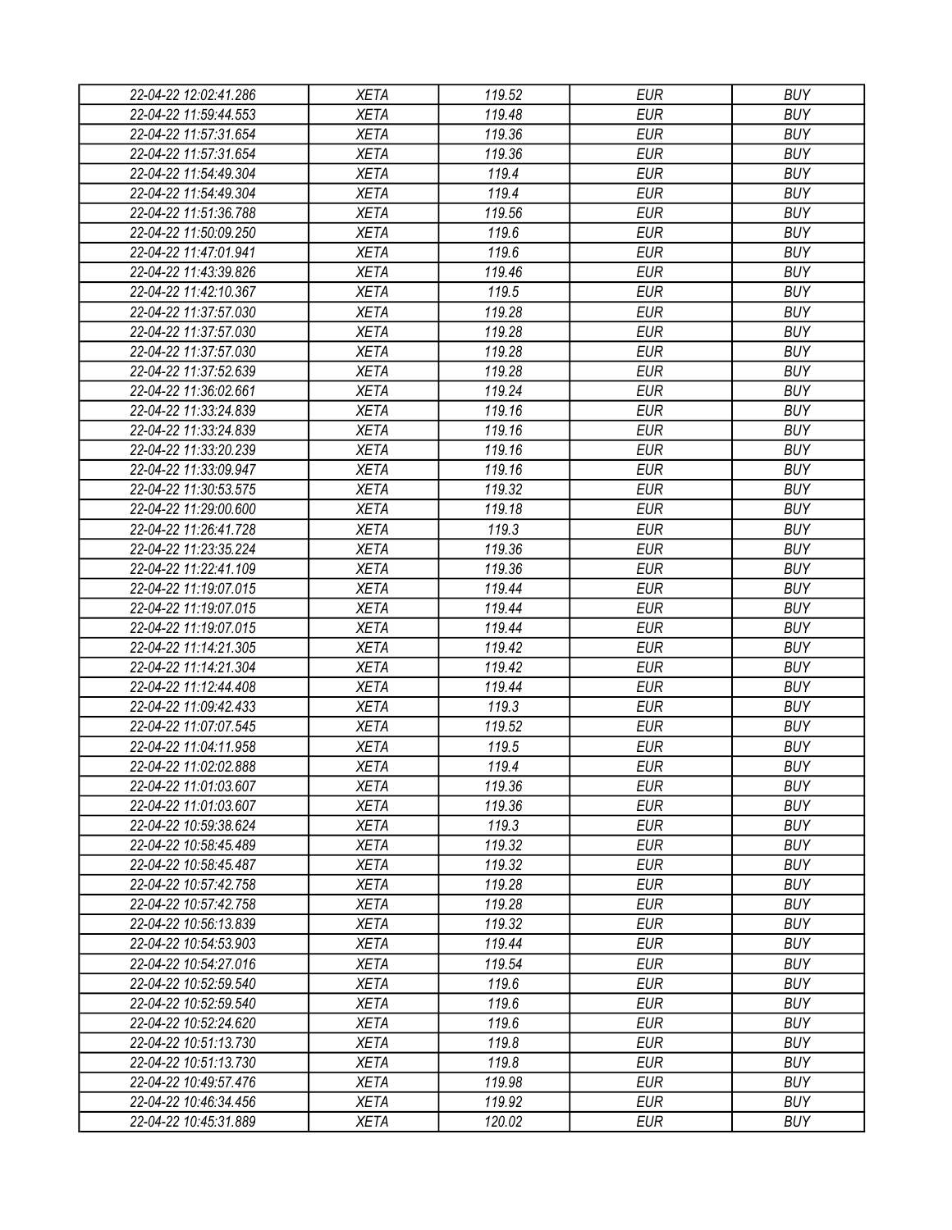| 22-04-22 12:02:41.286 | <b>XETA</b> | 119.52 | <b>EUR</b> | <b>BUY</b> |
|-----------------------|-------------|--------|------------|------------|
| 22-04-22 11:59:44.553 | <b>XETA</b> | 119.48 | <b>EUR</b> | <b>BUY</b> |
| 22-04-22 11:57:31.654 | <b>XETA</b> | 119.36 | <b>EUR</b> | <b>BUY</b> |
| 22-04-22 11:57:31.654 | <b>XETA</b> | 119.36 | <b>EUR</b> | <b>BUY</b> |
| 22-04-22 11:54:49.304 | <b>XETA</b> | 119.4  | <b>EUR</b> | <b>BUY</b> |
| 22-04-22 11:54:49.304 | <b>XETA</b> | 119.4  | <b>EUR</b> | <b>BUY</b> |
| 22-04-22 11:51:36.788 | <b>XETA</b> | 119.56 | <b>EUR</b> | <b>BUY</b> |
| 22-04-22 11:50:09.250 | <b>XETA</b> | 119.6  | <b>EUR</b> | <b>BUY</b> |
| 22-04-22 11:47:01.941 | <b>XETA</b> | 119.6  | <b>EUR</b> | <b>BUY</b> |
| 22-04-22 11:43:39.826 | <b>XETA</b> | 119.46 | <b>EUR</b> | <b>BUY</b> |
| 22-04-22 11:42:10.367 | <b>XETA</b> | 119.5  | <b>EUR</b> | <b>BUY</b> |
| 22-04-22 11:37:57.030 | <b>XETA</b> | 119.28 | <b>EUR</b> | <b>BUY</b> |
| 22-04-22 11:37:57.030 | <b>XETA</b> | 119.28 | <b>EUR</b> | <b>BUY</b> |
| 22-04-22 11:37:57.030 | <b>XETA</b> | 119.28 | <b>EUR</b> | <b>BUY</b> |
| 22-04-22 11:37:52.639 | <b>XETA</b> | 119.28 | <b>EUR</b> | <b>BUY</b> |
| 22-04-22 11:36:02.661 | <b>XETA</b> | 119.24 | <b>EUR</b> | <b>BUY</b> |
| 22-04-22 11:33:24.839 | <b>XETA</b> | 119.16 | <b>EUR</b> | <b>BUY</b> |
| 22-04-22 11:33:24.839 | <b>XETA</b> | 119.16 | <b>EUR</b> | <b>BUY</b> |
| 22-04-22 11:33:20.239 | <b>XETA</b> | 119.16 | <b>EUR</b> | <b>BUY</b> |
| 22-04-22 11:33:09.947 | <b>XETA</b> | 119.16 | <b>EUR</b> | <b>BUY</b> |
| 22-04-22 11:30:53.575 | <b>XETA</b> | 119.32 | <b>EUR</b> | <b>BUY</b> |
| 22-04-22 11:29:00.600 | <b>XETA</b> | 119.18 | <b>EUR</b> | <b>BUY</b> |
| 22-04-22 11:26:41.728 | <b>XETA</b> | 119.3  | <b>EUR</b> | <b>BUY</b> |
| 22-04-22 11:23:35.224 | <b>XETA</b> | 119.36 | <b>EUR</b> | <b>BUY</b> |
| 22-04-22 11:22:41.109 | <b>XETA</b> | 119.36 | <b>EUR</b> | <b>BUY</b> |
| 22-04-22 11:19:07.015 | <b>XETA</b> | 119.44 | <b>EUR</b> | <b>BUY</b> |
| 22-04-22 11:19:07.015 | <b>XETA</b> | 119.44 | <b>EUR</b> | <b>BUY</b> |
| 22-04-22 11:19:07.015 | <b>XETA</b> | 119.44 | <b>EUR</b> | <b>BUY</b> |
| 22-04-22 11:14:21.305 | <b>XETA</b> | 119.42 | <b>EUR</b> | <b>BUY</b> |
| 22-04-22 11:14:21.304 | <b>XETA</b> | 119.42 | <b>EUR</b> | <b>BUY</b> |
| 22-04-22 11:12:44.408 | <b>XETA</b> | 119.44 | <b>EUR</b> | <b>BUY</b> |
| 22-04-22 11:09:42.433 | <b>XETA</b> | 119.3  | <b>EUR</b> | <b>BUY</b> |
| 22-04-22 11:07:07.545 | <b>XETA</b> | 119.52 | <b>EUR</b> | <b>BUY</b> |
| 22-04-22 11:04:11.958 | <b>XETA</b> | 119.5  | <b>EUR</b> | <b>BUY</b> |
|                       |             | 119.4  | <b>EUR</b> | <b>BUY</b> |
| 22-04-22 11:02:02.888 | <b>XETA</b> | 119.36 |            |            |
| 22-04-22 11:01:03.607 | <b>XETA</b> |        | <b>EUR</b> | <b>BUY</b> |
| 22-04-22 11:01:03.607 | <b>XETA</b> | 119.36 | <b>EUR</b> | <b>BUY</b> |
| 22-04-22 10:59:38.624 | <b>XETA</b> | 119.3  | <b>EUR</b> | <b>BUY</b> |
| 22-04-22 10:58:45.489 | <b>XETA</b> | 119.32 | <b>EUR</b> | <b>BUY</b> |
| 22-04-22 10:58:45.487 | <b>XETA</b> | 119.32 | <b>EUR</b> | <b>BUY</b> |
| 22-04-22 10:57:42.758 | <b>XETA</b> | 119.28 | <b>EUR</b> | <b>BUY</b> |
| 22-04-22 10:57:42.758 | <b>XETA</b> | 119.28 | <b>EUR</b> | <b>BUY</b> |
| 22-04-22 10:56:13.839 | <b>XETA</b> | 119.32 | <b>EUR</b> | <b>BUY</b> |
| 22-04-22 10:54:53.903 | <b>XETA</b> | 119.44 | <b>EUR</b> | <b>BUY</b> |
| 22-04-22 10:54:27.016 | <b>XETA</b> | 119.54 | <b>EUR</b> | <b>BUY</b> |
| 22-04-22 10:52:59.540 | <b>XETA</b> | 119.6  | <b>EUR</b> | <b>BUY</b> |
| 22-04-22 10:52:59.540 | <b>XETA</b> | 119.6  | <b>EUR</b> | <b>BUY</b> |
| 22-04-22 10:52:24.620 | <b>XETA</b> | 119.6  | <b>EUR</b> | <b>BUY</b> |
| 22-04-22 10:51:13.730 | <b>XETA</b> | 119.8  | <b>EUR</b> | <b>BUY</b> |
| 22-04-22 10:51:13.730 | <b>XETA</b> | 119.8  | <b>EUR</b> | <b>BUY</b> |
| 22-04-22 10:49:57.476 | <b>XETA</b> | 119.98 | <b>EUR</b> | <b>BUY</b> |
| 22-04-22 10:46:34.456 | <b>XETA</b> | 119.92 | <b>EUR</b> | <b>BUY</b> |
| 22-04-22 10:45:31.889 | <b>XETA</b> | 120.02 | <b>EUR</b> | <b>BUY</b> |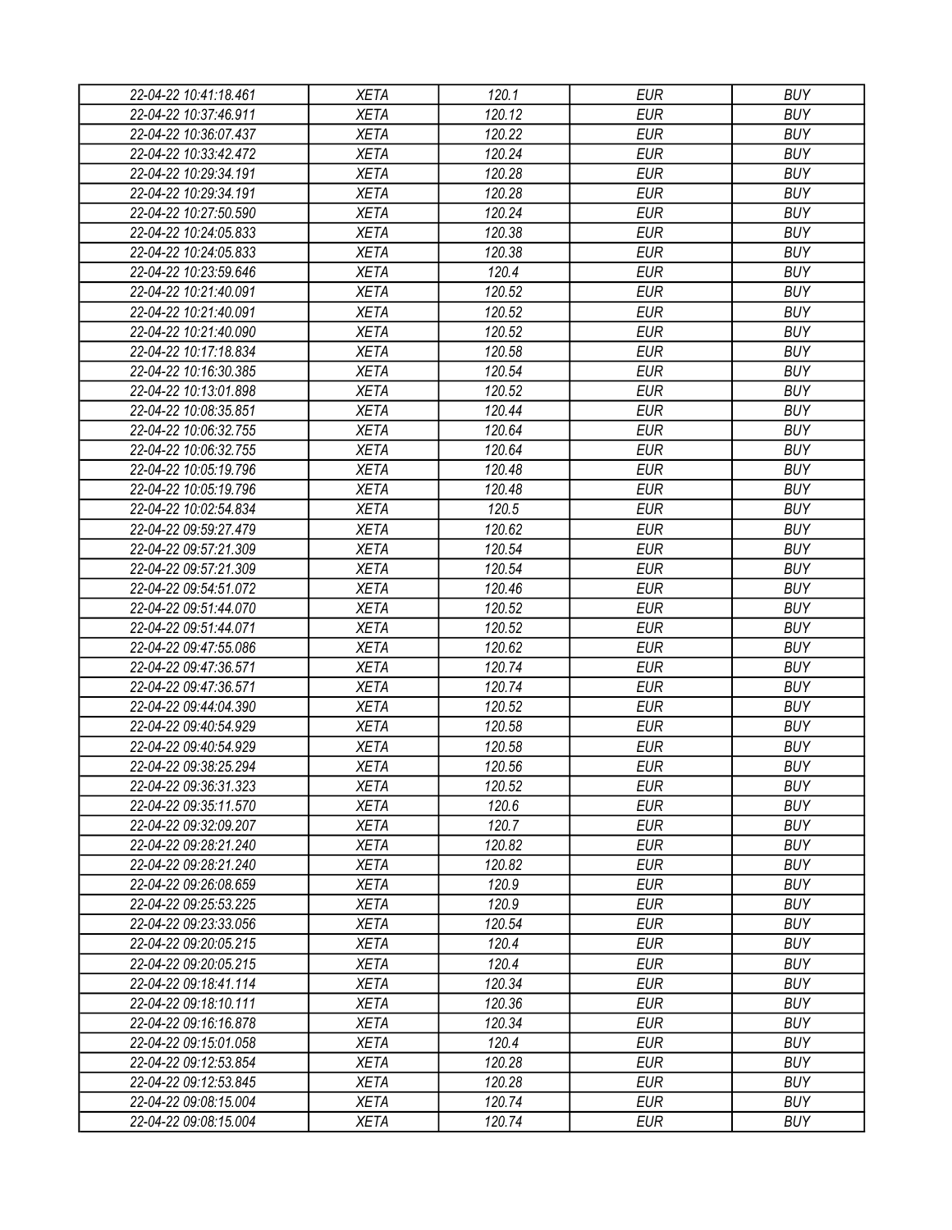| 22-04-22 10:41:18.461 | <b>XETA</b> | 120.1  | <b>EUR</b> | <b>BUY</b> |
|-----------------------|-------------|--------|------------|------------|
| 22-04-22 10:37:46.911 | <b>XETA</b> | 120.12 | <b>EUR</b> | <b>BUY</b> |
| 22-04-22 10:36:07.437 | <b>XETA</b> | 120.22 | <b>EUR</b> | <b>BUY</b> |
| 22-04-22 10:33:42.472 | <b>XETA</b> | 120.24 | <b>EUR</b> | <b>BUY</b> |
| 22-04-22 10:29:34.191 | <b>XETA</b> | 120.28 | <b>EUR</b> | <b>BUY</b> |
| 22-04-22 10:29:34.191 | <b>XETA</b> | 120.28 | <b>EUR</b> | <b>BUY</b> |
| 22-04-22 10:27:50.590 | <b>XETA</b> | 120.24 | <b>EUR</b> | <b>BUY</b> |
| 22-04-22 10:24:05.833 | <b>XETA</b> | 120.38 | <b>EUR</b> | <b>BUY</b> |
| 22-04-22 10:24:05.833 | <b>XETA</b> | 120.38 | <b>EUR</b> | <b>BUY</b> |
| 22-04-22 10:23:59.646 | <b>XETA</b> | 120.4  | <b>EUR</b> | <b>BUY</b> |
| 22-04-22 10:21:40.091 | <b>XETA</b> | 120.52 | <b>EUR</b> | <b>BUY</b> |
| 22-04-22 10:21:40.091 | <b>XETA</b> | 120.52 | <b>EUR</b> | <b>BUY</b> |
| 22-04-22 10:21:40.090 | <b>XETA</b> | 120.52 | <b>EUR</b> | <b>BUY</b> |
| 22-04-22 10:17:18.834 | <b>XETA</b> | 120.58 | <b>EUR</b> | <b>BUY</b> |
| 22-04-22 10:16:30.385 | <b>XETA</b> | 120.54 | <b>EUR</b> | <b>BUY</b> |
| 22-04-22 10:13:01.898 | <b>XETA</b> | 120.52 | <b>EUR</b> | <b>BUY</b> |
| 22-04-22 10:08:35.851 | <b>XETA</b> | 120.44 | <b>EUR</b> | <b>BUY</b> |
| 22-04-22 10:06:32.755 | <b>XETA</b> | 120.64 | <b>EUR</b> | <b>BUY</b> |
| 22-04-22 10:06:32.755 | <b>XETA</b> | 120.64 | <b>EUR</b> | <b>BUY</b> |
| 22-04-22 10:05:19.796 | <b>XETA</b> | 120.48 | <b>EUR</b> | <b>BUY</b> |
| 22-04-22 10:05:19.796 | <b>XETA</b> | 120.48 | <b>EUR</b> | <b>BUY</b> |
| 22-04-22 10:02:54.834 | <b>XETA</b> | 120.5  | <b>EUR</b> | <b>BUY</b> |
| 22-04-22 09:59:27.479 | <b>XETA</b> | 120.62 | <b>EUR</b> | <b>BUY</b> |
| 22-04-22 09:57:21.309 | <b>XETA</b> | 120.54 | <b>EUR</b> | <b>BUY</b> |
| 22-04-22 09:57:21.309 | <b>XETA</b> | 120.54 | <b>EUR</b> | <b>BUY</b> |
| 22-04-22 09:54:51.072 | <b>XETA</b> | 120.46 | <b>EUR</b> | <b>BUY</b> |
| 22-04-22 09:51:44.070 | <b>XETA</b> | 120.52 | <b>EUR</b> | <b>BUY</b> |
| 22-04-22 09:51:44.071 | <b>XETA</b> | 120.52 | <b>EUR</b> | <b>BUY</b> |
| 22-04-22 09:47:55.086 | <b>XETA</b> | 120.62 | <b>EUR</b> | <b>BUY</b> |
| 22-04-22 09:47:36.571 | <b>XETA</b> | 120.74 | <b>EUR</b> | <b>BUY</b> |
| 22-04-22 09:47:36.571 | <b>XETA</b> | 120.74 | <b>EUR</b> | <b>BUY</b> |
| 22-04-22 09:44:04.390 | <b>XETA</b> | 120.52 | <b>EUR</b> | <b>BUY</b> |
| 22-04-22 09:40:54.929 | <b>XETA</b> | 120.58 | <b>EUR</b> | <b>BUY</b> |
| 22-04-22 09:40:54.929 | <b>XETA</b> | 120.58 | <b>EUR</b> | <b>BUY</b> |
| 22-04-22 09:38:25.294 | <b>XETA</b> | 120.56 | <b>EUR</b> | <b>BUY</b> |
| 22-04-22 09:36:31.323 | <b>XETA</b> | 120.52 | <b>EUR</b> | <b>BUY</b> |
| 22-04-22 09:35:11.570 | <b>XETA</b> | 120.6  | <b>EUR</b> | <b>BUY</b> |
| 22-04-22 09:32:09.207 | <b>XETA</b> | 120.7  | <b>EUR</b> | <b>BUY</b> |
| 22-04-22 09:28:21.240 | <b>XETA</b> | 120.82 | <b>EUR</b> | <b>BUY</b> |
| 22-04-22 09:28:21.240 | <b>XETA</b> | 120.82 | <b>EUR</b> | <b>BUY</b> |
| 22-04-22 09:26:08.659 | <b>XETA</b> | 120.9  | <b>EUR</b> | <b>BUY</b> |
| 22-04-22 09:25:53.225 | <b>XETA</b> | 120.9  | <b>EUR</b> | <b>BUY</b> |
| 22-04-22 09:23:33.056 | <b>XETA</b> | 120.54 | <b>EUR</b> | <b>BUY</b> |
| 22-04-22 09:20:05.215 | <b>XETA</b> | 120.4  | <b>EUR</b> | <b>BUY</b> |
| 22-04-22 09:20:05.215 | <b>XETA</b> | 120.4  | <b>EUR</b> | <b>BUY</b> |
| 22-04-22 09:18:41.114 | <b>XETA</b> | 120.34 | <b>EUR</b> | <b>BUY</b> |
| 22-04-22 09:18:10.111 | <b>XETA</b> | 120.36 | <b>EUR</b> | <b>BUY</b> |
| 22-04-22 09:16:16.878 | <b>XETA</b> | 120.34 | <b>EUR</b> | <b>BUY</b> |
| 22-04-22 09:15:01.058 | <b>XETA</b> | 120.4  | <b>EUR</b> | <b>BUY</b> |
| 22-04-22 09:12:53.854 | <b>XETA</b> | 120.28 | <b>EUR</b> | <b>BUY</b> |
| 22-04-22 09:12:53.845 | <b>XETA</b> | 120.28 | <b>EUR</b> | <b>BUY</b> |
| 22-04-22 09:08:15.004 | <b>XETA</b> | 120.74 | <b>EUR</b> | <b>BUY</b> |
| 22-04-22 09:08:15.004 | <b>XETA</b> | 120.74 | <b>EUR</b> | <b>BUY</b> |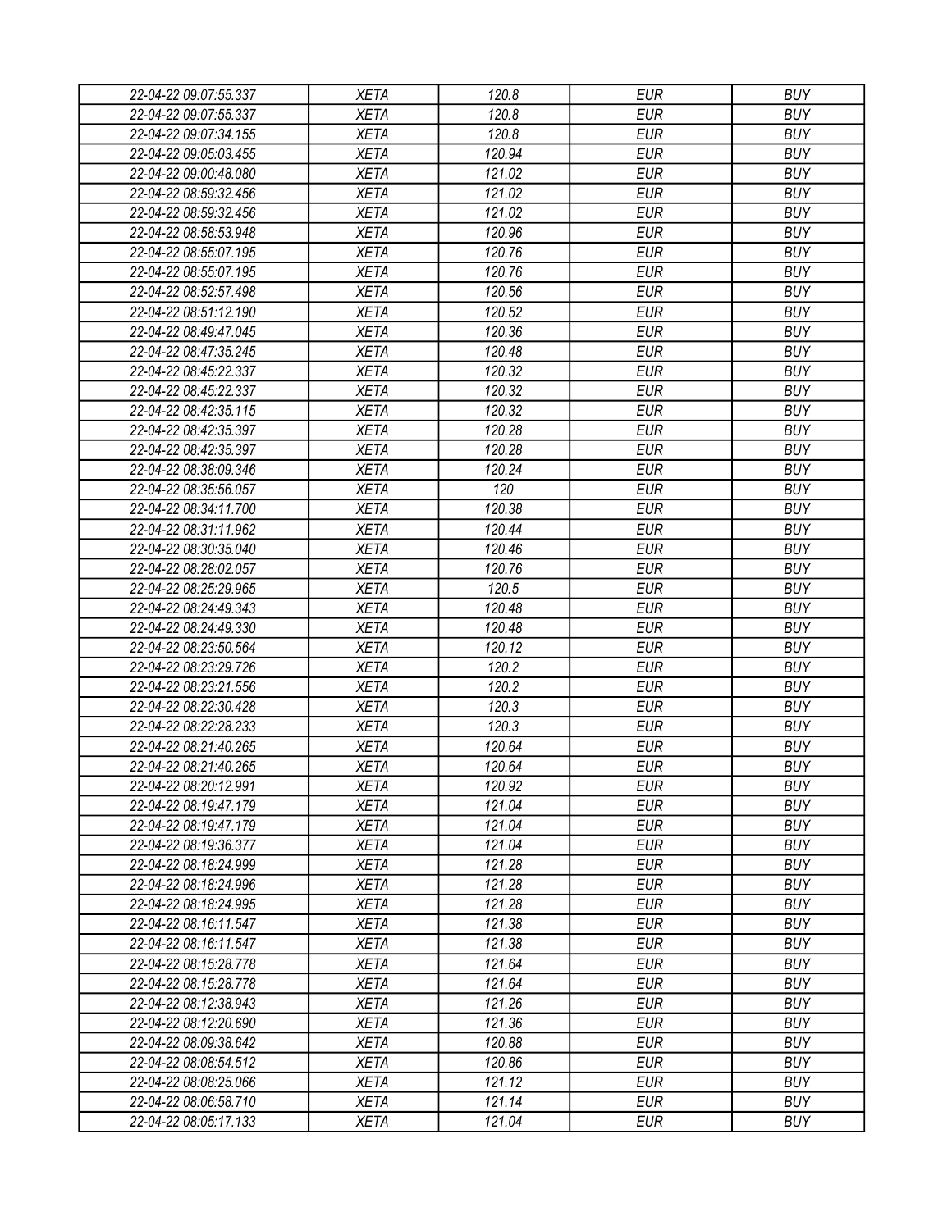| 22-04-22 09:07:55.337<br>XETA        | 120.8  | EUR        | <b>BUY</b> |
|--------------------------------------|--------|------------|------------|
|                                      |        |            |            |
| 22-04-22 09:07:55.337<br><b>XETA</b> | 120.8  | <b>EUR</b> | <b>BUY</b> |
| 22-04-22 09:07:34.155<br><b>XETA</b> | 120.8  | <b>EUR</b> | <b>BUY</b> |
| 22-04-22 09:05:03.455<br><b>XETA</b> | 120.94 | <b>EUR</b> | <b>BUY</b> |
| <b>XETA</b><br>22-04-22 09:00:48.080 | 121.02 | <b>EUR</b> | <b>BUY</b> |
| <b>XETA</b><br>22-04-22 08:59:32.456 | 121.02 | <b>EUR</b> | <b>BUY</b> |
| 22-04-22 08:59:32.456<br><b>XETA</b> | 121.02 | <b>EUR</b> | <b>BUY</b> |
| 22-04-22 08:58:53.948<br><b>XETA</b> | 120.96 | <b>EUR</b> | <b>BUY</b> |
| 22-04-22 08:55:07.195<br><b>XETA</b> | 120.76 | <b>EUR</b> | <b>BUY</b> |
| 22-04-22 08:55:07.195<br><b>XETA</b> | 120.76 | <b>EUR</b> | <b>BUY</b> |
| 22-04-22 08:52:57.498<br><b>XETA</b> | 120.56 | <b>EUR</b> | <b>BUY</b> |
| 22-04-22 08:51:12.190<br><b>XETA</b> | 120.52 | <b>EUR</b> | <b>BUY</b> |
| <b>XETA</b><br>22-04-22 08:49:47.045 | 120.36 | <b>EUR</b> | <b>BUY</b> |
| 22-04-22 08:47:35.245<br><b>XETA</b> | 120.48 | <b>EUR</b> | <b>BUY</b> |
| 22-04-22 08:45:22.337<br><b>XETA</b> | 120.32 | <b>EUR</b> | <b>BUY</b> |
| <b>XETA</b><br>22-04-22 08:45:22.337 | 120.32 | <b>EUR</b> | <b>BUY</b> |
| 22-04-22 08:42:35.115<br><b>XETA</b> | 120.32 | <b>EUR</b> | <b>BUY</b> |
| <b>XETA</b><br>22-04-22 08:42:35.397 | 120.28 | <b>EUR</b> | <b>BUY</b> |
| 22-04-22 08:42:35.397<br><b>XETA</b> | 120.28 | <b>EUR</b> | <b>BUY</b> |
| <b>XETA</b><br>22-04-22 08:38:09.346 | 120.24 | <b>EUR</b> | <b>BUY</b> |
| 22-04-22 08:35:56.057<br><b>XETA</b> | 120    | <b>EUR</b> | <b>BUY</b> |
| <b>XETA</b><br>22-04-22 08:34:11.700 | 120.38 | <b>EUR</b> | <b>BUY</b> |
|                                      |        | <b>EUR</b> | <b>BUY</b> |
| 22-04-22 08:31:11.962<br><b>XETA</b> | 120.44 |            |            |
| <b>XETA</b><br>22-04-22 08:30:35.040 | 120.46 | <b>EUR</b> | <b>BUY</b> |
| 22-04-22 08:28:02.057<br><b>XETA</b> | 120.76 | <b>EUR</b> | <b>BUY</b> |
| 22-04-22 08:25:29.965<br><b>XETA</b> | 120.5  | <b>EUR</b> | <b>BUY</b> |
| 22-04-22 08:24:49.343<br><b>XETA</b> | 120.48 | <b>EUR</b> | <b>BUY</b> |
| 22-04-22 08:24:49.330<br><b>XETA</b> | 120.48 | <b>EUR</b> | <b>BUY</b> |
| 22-04-22 08:23:50.564<br><b>XETA</b> | 120.12 | <b>EUR</b> | <b>BUY</b> |
| 22-04-22 08:23:29.726<br><b>XETA</b> | 120.2  | <b>EUR</b> | <b>BUY</b> |
| 22-04-22 08:23:21.556<br><b>XETA</b> | 120.2  | <b>EUR</b> | <b>BUY</b> |
| 22-04-22 08:22:30.428<br><b>XETA</b> | 120.3  | <b>EUR</b> | <b>BUY</b> |
| 22-04-22 08:22:28.233<br><b>XETA</b> | 120.3  | <b>EUR</b> | <b>BUY</b> |
| 22-04-22 08:21:40.265<br><b>XETA</b> | 120.64 | <b>EUR</b> | <b>BUY</b> |
| 22-04-22 08:21:40.265<br><b>XETA</b> | 120.64 | <b>EUR</b> | <b>BUY</b> |
| 22-04-22 08:20:12.991<br><b>XETA</b> | 120.92 | <b>EUR</b> | <b>BUY</b> |
| 22-04-22 08:19:47.179<br><b>XETA</b> | 121.04 | <b>EUR</b> | <b>BUY</b> |
| 22-04-22 08:19:47.179<br><b>XETA</b> | 121.04 | <b>EUR</b> | <b>BUY</b> |
| <b>XETA</b><br>22-04-22 08:19:36.377 | 121.04 | <b>EUR</b> | <b>BUY</b> |
| <b>XETA</b><br>22-04-22 08:18:24.999 | 121.28 | <b>EUR</b> | <b>BUY</b> |
| <b>XETA</b><br>22-04-22 08:18:24.996 | 121.28 | <b>EUR</b> | <b>BUY</b> |
| <b>XETA</b><br>22-04-22 08:18:24.995 | 121.28 | <b>EUR</b> | <b>BUY</b> |
| <b>XETA</b><br>22-04-22 08:16:11.547 | 121.38 | <b>EUR</b> | <b>BUY</b> |
| <b>XETA</b><br>22-04-22 08:16:11.547 | 121.38 | <b>EUR</b> | <b>BUY</b> |
| <b>XETA</b><br>22-04-22 08:15:28.778 | 121.64 | <b>EUR</b> | <b>BUY</b> |
| 22-04-22 08:15:28.778<br><b>XETA</b> | 121.64 | <b>EUR</b> | <b>BUY</b> |
| <b>XETA</b><br>22-04-22 08:12:38.943 | 121.26 | <b>EUR</b> | <b>BUY</b> |
| <b>XETA</b><br>22-04-22 08:12:20.690 | 121.36 | <b>EUR</b> | <b>BUY</b> |
| <b>XETA</b><br>22-04-22 08:09:38.642 | 120.88 | <b>EUR</b> | <b>BUY</b> |
| <b>XETA</b><br>22-04-22 08:08:54.512 | 120.86 | <b>EUR</b> | <b>BUY</b> |
| 22-04-22 08:08:25.066<br><b>XETA</b> | 121.12 | EUR        | <b>BUY</b> |
| 22-04-22 08:06:58.710<br><b>XETA</b> | 121.14 | <b>EUR</b> | <b>BUY</b> |
| 22-04-22 08:05:17.133<br><b>XETA</b> | 121.04 | <b>EUR</b> | <b>BUY</b> |